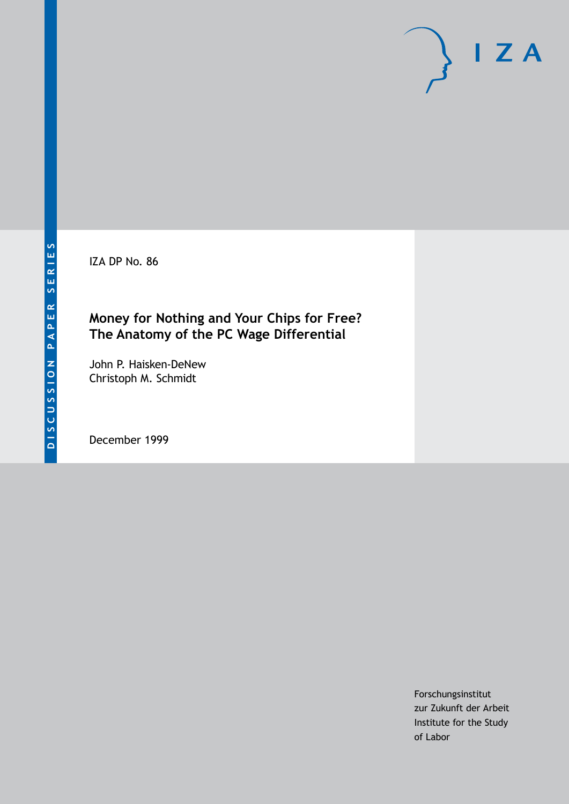IZA DP No. 86

## **Money for Nothing and Your Chips for Free? The Anatomy of the PC Wage Differential**

John P. Haisken-DeNew Christoph M. Schmidt

December 1999

Forschungsinstitut zur Zukunft der Arbeit Institute for the Study of Labor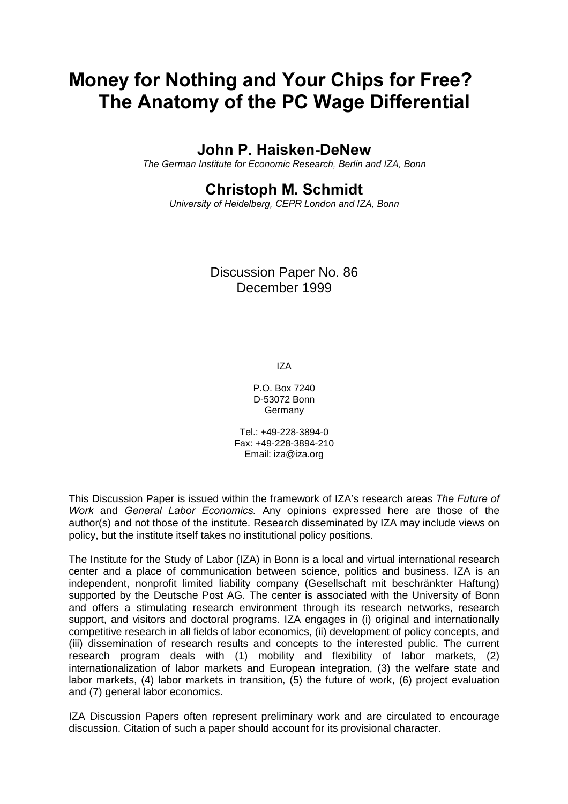# Money for Nothing and Your Chips for Free? The Anatomy of the PC Wage Differential

### John P. Haisken-DeNew

The German Institute for Economic Research, Berlin and IZA, Bonn

## **Christoph M. Schmidt**

University of Heidelberg, CEPR London and IZA, Bonn

Discussion Paper No. 86 December 1999

IZA

P.O. Box 7240 D-53072 Bonn Germany

Tel.: +49-228-3894-0 Fax: +49-228-3894-210 Email: iza@iza.org

This Discussion Paper is issued within the framework of IZA's research areas The Future of Work and General Labor Economics. Any opinions expressed here are those of the author(s) and not those of the institute. Research disseminated by IZA may include views on policy, but the institute itself takes no institutional policy positions.

The Institute for the Study of Labor (IZA) in Bonn is a local and virtual international research center and a place of communication between science, politics and business. IZA is an independent, nonprofit limited liability company (Gesellschaft mit beschränkter Haftung) supported by the Deutsche Post AG. The center is associated with the University of Bonn and offers a stimulating research environment through its research networks, research support, and visitors and doctoral programs. IZA engages in (i) original and internationally competitive research in all fields of labor economics, (ii) development of policy concepts, and (iii) dissemination of research results and concepts to the interested public. The current research program deals with (1) mobility and flexibility of labor markets, (2) internationalization of labor markets and European integration, (3) the welfare state and labor markets, (4) labor markets in transition, (5) the future of work, (6) project evaluation and (7) general labor economics.

IZA Discussion Papers often represent preliminary work and are circulated to encourage discussion. Citation of such a paper should account for its provisional character.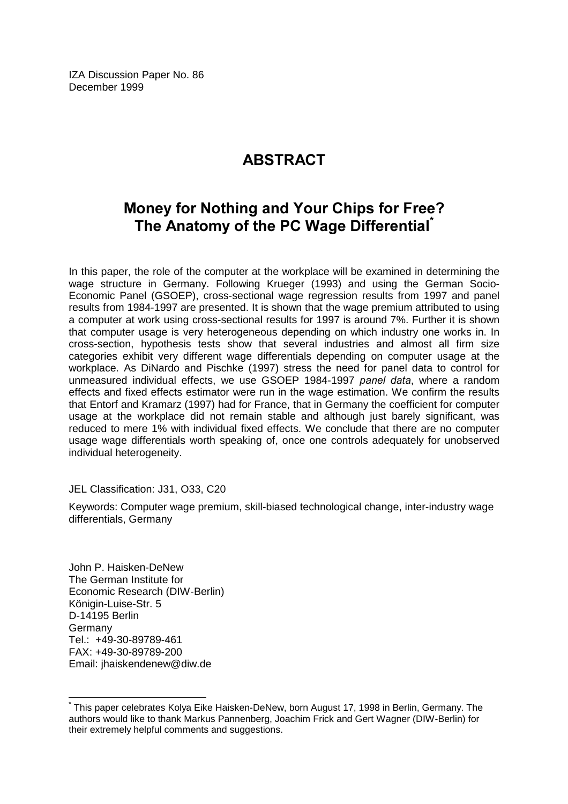IZA Discussion Paper No. 86 December 1999

# **ABSTRACT**

# Money for Nothing and Your Chips for Free? The Anatomy of the PC Wage Differential®

In this paper, the role of the computer at the workplace will be examined in determining the wage structure in Germany. Following Krueger (1993) and using the German Socio-Economic Panel (GSOEP), cross-sectional wage regression results from 1997 and panel results from 1984-1997 are presented. It is shown that the wage premium attributed to using a computer at work using cross-sectional results for 1997 is around 7%. Further it is shown that computer usage is very heterogeneous depending on which industry one works in. In cross-section, hypothesis tests show that several industries and almost all firm size categories exhibit very different wage differentials depending on computer usage at the workplace. As DiNardo and Pischke (1997) stress the need for panel data to control for unmeasured individual effects, we use GSOEP 1984-1997 panel data, where a random effects and fixed effects estimator were run in the wage estimation. We confirm the results that Entorf and Kramarz (1997) had for France, that in Germany the coefficient for computer usage at the workplace did not remain stable and although just barely significant, was reduced to mere 1% with individual fixed effects. We conclude that there are no computer usage wage differentials worth speaking of, once one controls adequately for unobserved individual heterogeneity.

#### JEL Classification: J31, O33, C20

Keywords: Computer wage premium, skill-biased technological change, inter-industry wage differentials, Germany

John P. Haisken-DeNew The German Institute for Economic Research (DIW-Berlin) Königin-Luise-Str. 5 D-14195 Berlin Germany Tel.: +49-30-89789-461 FAX: +49-30-89789-200 Email: jhaiskendenew@diw.de

 $\overline{\phantom{a}}$ 

<sup>\*</sup> This paper celebrates Kolya Eike Haisken-DeNew, born August 17, 1998 in Berlin, Germany. The authors would like to thank Markus Pannenberg, Joachim Frick and Gert Wagner (DIW-Berlin) for their extremely helpful comments and suggestions.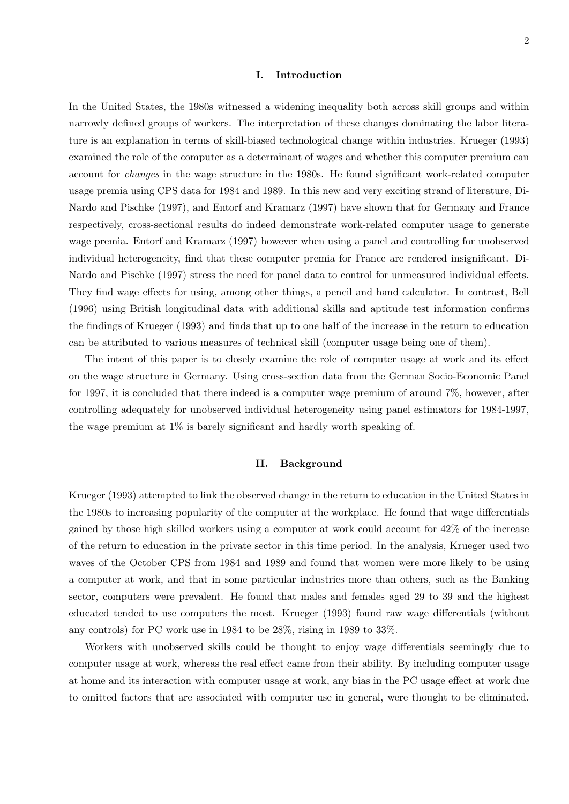#### **I. Introduction**

In the United States, the 1980s witnessed a widening inequality both across skill groups and within narrowly defined groups of workers. The interpretation of these changes dominating the labor literature is an explanation in terms of skill-biased technological change within industries. Krueger (1993) examined the role of the computer as a determinant of wages and whether this computer premium can account for *changes* in the wage structure in the 1980s. He found significant work-related computer usage premia using CPS data for 1984 and 1989. In this new and very exciting strand of literature, Di-Nardo and Pischke (1997), and Entorf and Kramarz (1997) have shown that for Germany and France respectively, cross-sectional results do indeed demonstrate work-related computer usage to generate wage premia. Entorf and Kramarz (1997) however when using a panel and controlling for unobserved individual heterogeneity, find that these computer premia for France are rendered insignificant. Di-Nardo and Pischke (1997) stress the need for panel data to control for unmeasured individual effects. They find wage effects for using, among other things, a pencil and hand calculator. In contrast, Bell (1996) using British longitudinal data with additional skills and aptitude test information confirms the findings of Krueger (1993) and finds that up to one half of the increase in the return to education can be attributed to various measures of technical skill (computer usage being one of them).

The intent of this paper is to closely examine the role of computer usage at work and its effect on the wage structure in Germany. Using cross-section data from the German Socio-Economic Panel for 1997, it is concluded that there indeed is a computer wage premium of around 7%, however, after controlling adequately for unobserved individual heterogeneity using panel estimators for 1984-1997, the wage premium at 1% is barely significant and hardly worth speaking of.

#### **II. Background**

Krueger (1993) attempted to link the observed change in the return to education in the United States in the 1980s to increasing popularity of the computer at the workplace. He found that wage differentials gained by those high skilled workers using a computer at work could account for 42% of the increase of the return to education in the private sector in this time period. In the analysis, Krueger used two waves of the October CPS from 1984 and 1989 and found that women were more likely to be using a computer at work, and that in some particular industries more than others, such as the Banking sector, computers were prevalent. He found that males and females aged 29 to 39 and the highest educated tended to use computers the most. Krueger (1993) found raw wage differentials (without any controls) for PC work use in 1984 to be 28%, rising in 1989 to 33%.

Workers with unobserved skills could be thought to enjoy wage differentials seemingly due to computer usage at work, whereas the real effect came from their ability. By including computer usage at home and its interaction with computer usage at work, any bias in the PC usage effect at work due to omitted factors that are associated with computer use in general, were thought to be eliminated.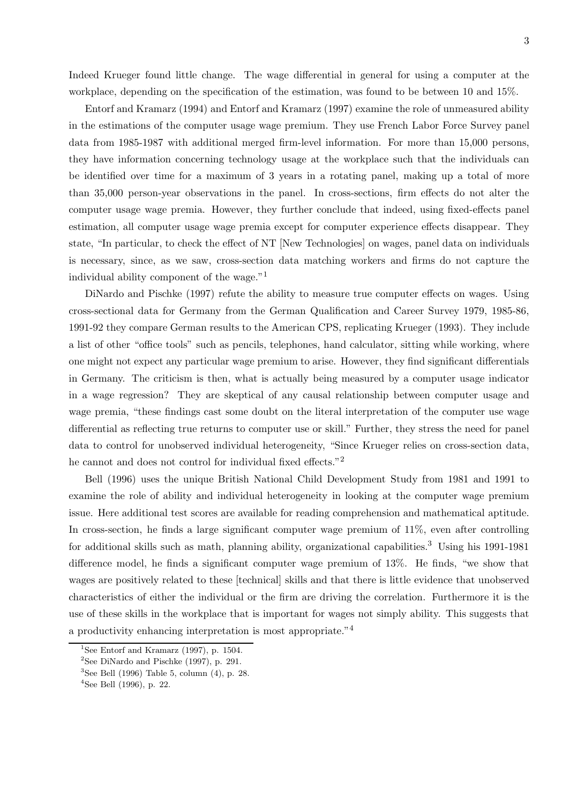Indeed Krueger found little change. The wage differential in general for using a computer at the workplace, depending on the specification of the estimation, was found to be between 10 and 15%.

Entorf and Kramarz (1994) and Entorf and Kramarz (1997) examine the role of unmeasured ability in the estimations of the computer usage wage premium. They use French Labor Force Survey panel data from 1985-1987 with additional merged firm-level information. For more than 15,000 persons, they have information concerning technology usage at the workplace such that the individuals can be identified over time for a maximum of 3 years in a rotating panel, making up a total of more than 35,000 person-year observations in the panel. In cross-sections, firm effects do not alter the computer usage wage premia. However, they further conclude that indeed, using fixed-effects panel estimation, all computer usage wage premia except for computer experience effects disappear. They state, "In particular, to check the effect of NT [New Technologies] on wages, panel data on individuals is necessary, since, as we saw, cross-section data matching workers and firms do not capture the individual ability component of the wage."<sup>1</sup>

DiNardo and Pischke (1997) refute the ability to measure true computer effects on wages. Using cross-sectional data for Germany from the German Qualification and Career Survey 1979, 1985-86, 1991-92 they compare German results to the American CPS, replicating Krueger (1993). They include a list of other "office tools" such as pencils, telephones, hand calculator, sitting while working, where one might not expect any particular wage premium to arise. However, they find significant differentials in Germany. The criticism is then, what is actually being measured by a computer usage indicator in a wage regression? They are skeptical of any causal relationship between computer usage and wage premia, "these findings cast some doubt on the literal interpretation of the computer use wage differential as reflecting true returns to computer use or skill." Further, they stress the need for panel data to control for unobserved individual heterogeneity, "Since Krueger relies on cross-section data, he cannot and does not control for individual fixed effects."<sup>2</sup>

Bell (1996) uses the unique British National Child Development Study from 1981 and 1991 to examine the role of ability and individual heterogeneity in looking at the computer wage premium issue. Here additional test scores are available for reading comprehension and mathematical aptitude. In cross-section, he finds a large significant computer wage premium of 11%, even after controlling for additional skills such as math, planning ability, organizational capabilities.<sup>3</sup> Using his 1991-1981 difference model, he finds a significant computer wage premium of 13%. He finds, "we show that wages are positively related to these [technical] skills and that there is little evidence that unobserved characteristics of either the individual or the firm are driving the correlation. Furthermore it is the use of these skills in the workplace that is important for wages not simply ability. This suggests that a productivity enhancing interpretation is most appropriate."<sup>4</sup>

<sup>&</sup>lt;sup>1</sup>See Entorf and Kramarz (1997), p. 1504.

<sup>&</sup>lt;sup>2</sup>See DiNardo and Pischke  $(1997)$ , p. 291.

 $3$ See Bell (1996) Table 5, column (4), p. 28.

 $4$ See Bell (1996), p. 22.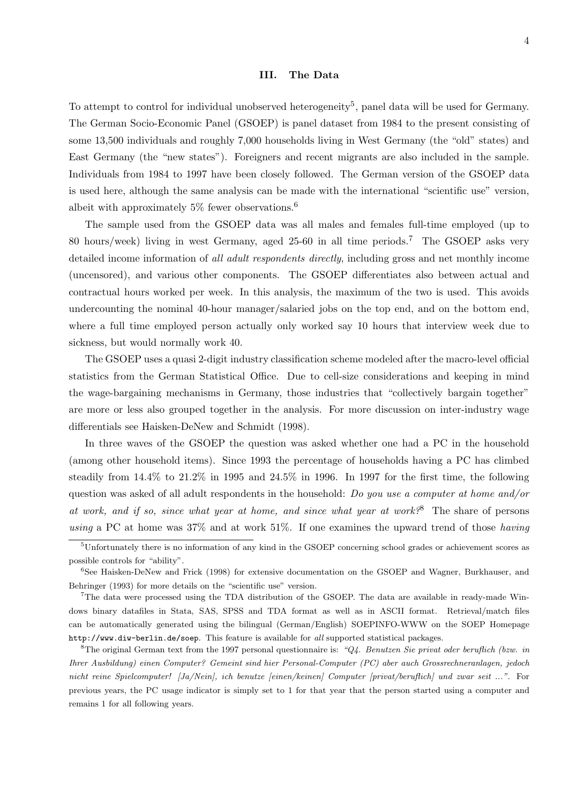#### **III. The Data**

To attempt to control for individual unobserved heterogeneity<sup>5</sup>, panel data will be used for Germany. The German Socio-Economic Panel (GSOEP) is panel dataset from 1984 to the present consisting of some 13,500 individuals and roughly 7,000 households living in West Germany (the "old" states) and East Germany (the "new states"). Foreigners and recent migrants are also included in the sample. Individuals from 1984 to 1997 have been closely followed. The German version of the GSOEP data is used here, although the same analysis can be made with the international "scientific use" version, albeit with approximately  $5\%$  fewer observations.<sup>6</sup>

The sample used from the GSOEP data was all males and females full-time employed (up to 80 hours/week) living in west Germany, aged 25-60 in all time periods.<sup>7</sup> The GSOEP asks very detailed income information of *all adult respondents directly*, including gross and net monthly income (uncensored), and various other components. The GSOEP differentiates also between actual and contractual hours worked per week. In this analysis, the maximum of the two is used. This avoids undercounting the nominal 40-hour manager/salaried jobs on the top end, and on the bottom end, where a full time employed person actually only worked say 10 hours that interview week due to sickness, but would normally work 40.

The GSOEP uses a quasi 2-digit industry classification scheme modeled after the macro-level official statistics from the German Statistical Office. Due to cell-size considerations and keeping in mind the wage-bargaining mechanisms in Germany, those industries that "collectively bargain together" are more or less also grouped together in the analysis. For more discussion on inter-industry wage differentials see Haisken-DeNew and Schmidt (1998).

In three waves of the GSOEP the question was asked whether one had a PC in the household (among other household items). Since 1993 the percentage of households having a PC has climbed steadily from 14.4% to 21.2% in 1995 and 24.5% in 1996. In 1997 for the first time, the following question was asked of all adult respondents in the household: *Do you use a computer at home and/or at work, and if so, since what year at home, and since what year at work?*<sup>8</sup> The share of persons *using* a PC at home was 37% and at work 51%. If one examines the upward trend of those *having*

 $5$ Unfortunately there is no information of any kind in the GSOEP concerning school grades or achievement scores as possible controls for "ability".

<sup>6</sup>See Haisken-DeNew and Frick (1998) for extensive documentation on the GSOEP and Wagner, Burkhauser, and Behringer (1993) for more details on the "scientific use" version.

<sup>7</sup>The data were processed using the TDA distribution of the GSOEP. The data are available in ready-made Windows binary datafiles in Stata, SAS, SPSS and TDA format as well as in ASCII format. Retrieval/match files can be automatically generated using the bilingual (German/English) SOEPINFO-WWW on the SOEP Homepage http://www.diw-berlin.de/soep. This feature is available for all supported statistical packages.

<sup>&</sup>lt;sup>8</sup>The original German text from the 1997 personal questionnaire is: " $Q4$ . Benutzen Sie privat oder beruflich (bzw. in Ihrer Ausbildung) einen Computer? Gemeint sind hier Personal-Computer (PC) aber auch Grossrechneranlagen, jedoch nicht reine Spielcomputer! [Ja/Nein], ich benutze [einen/keinen] Computer [privat/beruflich] und zwar seit ...". For previous years, the PC usage indicator is simply set to 1 for that year that the person started using a computer and remains 1 for all following years.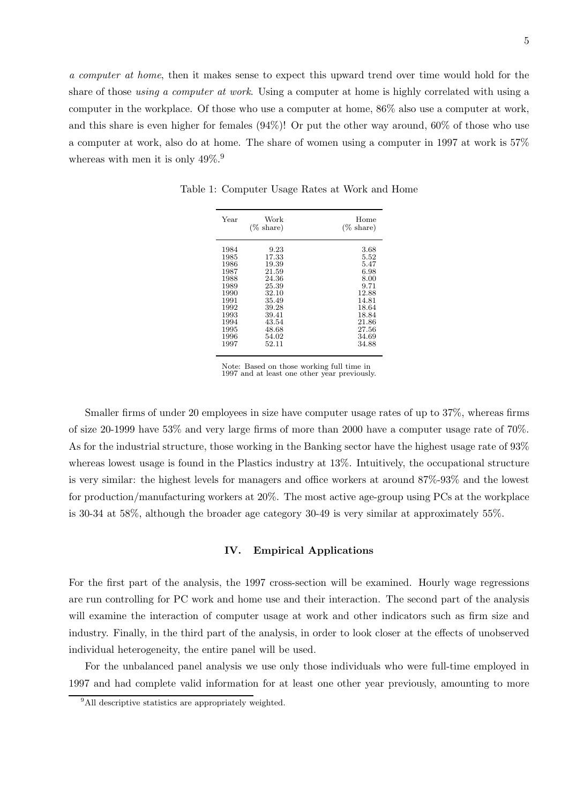*a computer at home*, then it makes sense to expect this upward trend over time would hold for the share of those *using a computer at work*. Using a computer at home is highly correlated with using a computer in the workplace. Of those who use a computer at home, 86% also use a computer at work, and this share is even higher for females (94%)! Or put the other way around, 60% of those who use a computer at work, also do at home. The share of women using a computer in 1997 at work is 57% whereas with men it is only  $49\%$ <sup>9</sup>.

| Year | Work<br>$(\% \; share)$ | Home<br>$(\% \; share)$ |
|------|-------------------------|-------------------------|
| 1984 | 9.23                    | 3.68                    |
| 1985 | 17.33                   | 5.52                    |
| 1986 | 19.39                   | 5.47                    |
| 1987 | 21.59                   | 6.98                    |
| 1988 | 24.36                   | 8.00                    |
| 1989 | 25.39                   | 9.71                    |
| 1990 | 32.10                   | 12.88                   |
| 1991 | 35.49                   | 14.81                   |
| 1992 | 39.28                   | 18.64                   |
| 1993 | 39.41                   | 18.84                   |
| 1994 | 43.54                   | 21.86                   |
| 1995 | 48.68                   | 27.56                   |
| 1996 | 54.02                   | 34.69                   |
| 1997 | 52.11                   | 34.88                   |

Table 1: Computer Usage Rates at Work and Home

Note: Based on those working full time in 1997 and at least one other year previously.

Smaller firms of under 20 employees in size have computer usage rates of up to 37%, whereas firms of size 20-1999 have 53% and very large firms of more than 2000 have a computer usage rate of 70%. As for the industrial structure, those working in the Banking sector have the highest usage rate of 93% whereas lowest usage is found in the Plastics industry at 13%. Intuitively, the occupational structure is very similar: the highest levels for managers and office workers at around 87%-93% and the lowest for production/manufacturing workers at 20%. The most active age-group using PCs at the workplace is 30-34 at 58%, although the broader age category 30-49 is very similar at approximately 55%.

#### **IV. Empirical Applications**

For the first part of the analysis, the 1997 cross-section will be examined. Hourly wage regressions are run controlling for PC work and home use and their interaction. The second part of the analysis will examine the interaction of computer usage at work and other indicators such as firm size and industry. Finally, in the third part of the analysis, in order to look closer at the effects of unobserved individual heterogeneity, the entire panel will be used.

For the unbalanced panel analysis we use only those individuals who were full-time employed in 1997 and had complete valid information for at least one other year previously, amounting to more

<sup>&</sup>lt;sup>9</sup>All descriptive statistics are appropriately weighted.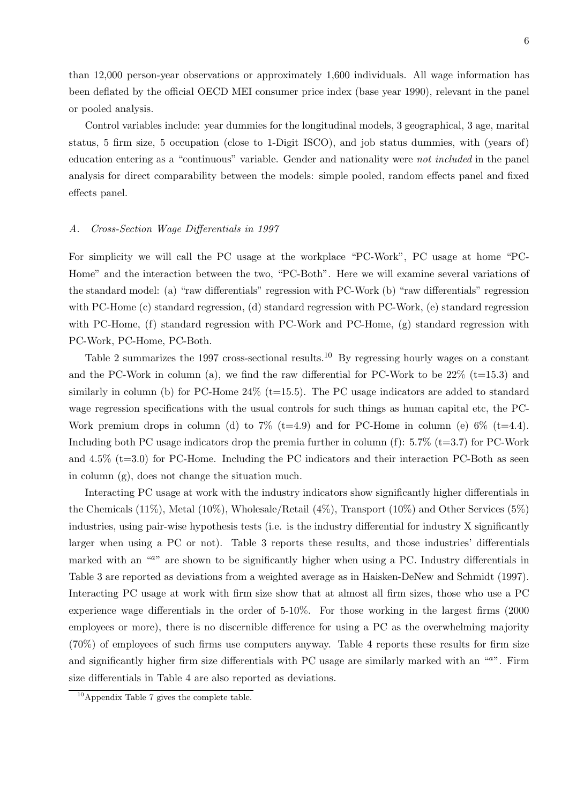than 12,000 person-year observations or approximately 1,600 individuals. All wage information has been deflated by the official OECD MEI consumer price index (base year 1990), relevant in the panel or pooled analysis.

Control variables include: year dummies for the longitudinal models, 3 geographical, 3 age, marital status, 5 firm size, 5 occupation (close to 1-Digit ISCO), and job status dummies, with (years of) education entering as a "continuous" variable. Gender and nationality were *not included* in the panel analysis for direct comparability between the models: simple pooled, random effects panel and fixed effects panel.

#### *A. Cross-Section Wage Differentials in 1997*

For simplicity we will call the PC usage at the workplace "PC-Work", PC usage at home "PC-Home" and the interaction between the two, "PC-Both". Here we will examine several variations of the standard model: (a) "raw differentials" regression with PC-Work (b) "raw differentials" regression with PC-Home (c) standard regression, (d) standard regression with PC-Work, (e) standard regression with PC-Home, (f) standard regression with PC-Work and PC-Home, (g) standard regression with PC-Work, PC-Home, PC-Both.

Table 2 summarizes the 1997 cross-sectional results.<sup>10</sup> By regressing hourly wages on a constant and the PC-Work in column (a), we find the raw differential for PC-Work to be  $22\%$  (t=15.3) and similarly in column (b) for PC-Home  $24\%$  (t=15.5). The PC usage indicators are added to standard wage regression specifications with the usual controls for such things as human capital etc, the PC-Work premium drops in column (d) to 7% (t=4.9) and for PC-Home in column (e)  $6\%$  (t=4.4). Including both PC usage indicators drop the premia further in column  $(f)$ : 5.7% (t=3.7) for PC-Work and  $4.5\%$  (t=3.0) for PC-Home. Including the PC indicators and their interaction PC-Both as seen in column (g), does not change the situation much.

Interacting PC usage at work with the industry indicators show significantly higher differentials in the Chemicals (11%), Metal (10%), Wholesale/Retail (4%), Transport (10%) and Other Services (5%) industries, using pair-wise hypothesis tests (i.e. is the industry differential for industry X significantly larger when using a PC or not). Table 3 reports these results, and those industries' differentials marked with an "a" are shown to be significantly higher when using a PC. Industry differentials in Table 3 are reported as deviations from a weighted average as in Haisken-DeNew and Schmidt (1997). Interacting PC usage at work with firm size show that at almost all firm sizes, those who use a PC experience wage differentials in the order of 5-10%. For those working in the largest firms (2000 employees or more), there is no discernible difference for using a PC as the overwhelming majority (70%) of employees of such firms use computers anyway. Table 4 reports these results for firm size and significantly higher firm size differentials with PC usage are similarly marked with an "a". Firm size differentials in Table 4 are also reported as deviations.

<sup>10</sup>Appendix Table 7 gives the complete table.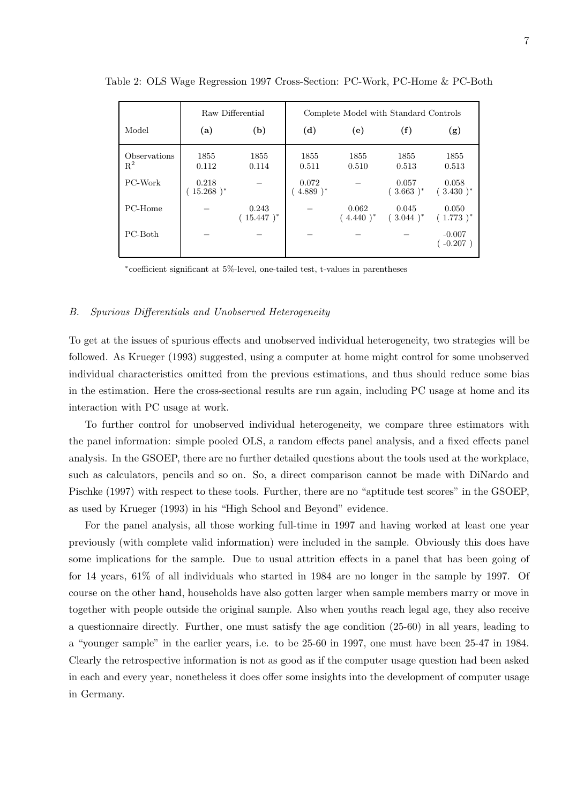|                       | Raw Differential     |                       | Complete Model with Standard Controls |                      |                       |                        |
|-----------------------|----------------------|-----------------------|---------------------------------------|----------------------|-----------------------|------------------------|
| Model                 | (a)                  | (b)                   | (d)                                   | (e)                  | (f)                   | (g)                    |
| Observations<br>$R^2$ | 1855<br>0.112        | 1855<br>0.114         | 1855<br>0.511                         | 1855<br>0.510        | 1855<br>0.513         | 1855<br>0.513          |
| PC-Work               | 0.218<br>$15.268$ )* |                       | 0.072<br>$4.889$ <sup>*</sup>         |                      | 0.057<br>$(.3.663)^*$ | 0.058<br>$(.3.430)^*$  |
| PC-Home               |                      | 0.243<br>$(15.447)^*$ |                                       | 0.062<br>$(4.440)^*$ | 0.045<br>$(.3.044)^*$ | 0.050<br>$(1.773)^*$   |
| PC-Both               |                      |                       |                                       |                      |                       | $-0.007$<br>$-0.207$ ) |

Table 2: OLS Wage Regression 1997 Cross-Section: PC-Work, PC-Home & PC-Both

<sup>∗</sup>coefficient significant at 5%-level, one-tailed test, t-values in parentheses

#### *B. Spurious Differentials and Unobserved Heterogeneity*

To get at the issues of spurious effects and unobserved individual heterogeneity, two strategies will be followed. As Krueger (1993) suggested, using a computer at home might control for some unobserved individual characteristics omitted from the previous estimations, and thus should reduce some bias in the estimation. Here the cross-sectional results are run again, including PC usage at home and its interaction with PC usage at work.

To further control for unobserved individual heterogeneity, we compare three estimators with the panel information: simple pooled OLS, a random effects panel analysis, and a fixed effects panel analysis. In the GSOEP, there are no further detailed questions about the tools used at the workplace, such as calculators, pencils and so on. So, a direct comparison cannot be made with DiNardo and Pischke (1997) with respect to these tools. Further, there are no "aptitude test scores" in the GSOEP, as used by Krueger (1993) in his "High School and Beyond" evidence.

For the panel analysis, all those working full-time in 1997 and having worked at least one year previously (with complete valid information) were included in the sample. Obviously this does have some implications for the sample. Due to usual attrition effects in a panel that has been going of for 14 years, 61% of all individuals who started in 1984 are no longer in the sample by 1997. Of course on the other hand, households have also gotten larger when sample members marry or move in together with people outside the original sample. Also when youths reach legal age, they also receive a questionnaire directly. Further, one must satisfy the age condition (25-60) in all years, leading to a "younger sample" in the earlier years, i.e. to be 25-60 in 1997, one must have been 25-47 in 1984. Clearly the retrospective information is not as good as if the computer usage question had been asked in each and every year, nonetheless it does offer some insights into the development of computer usage in Germany.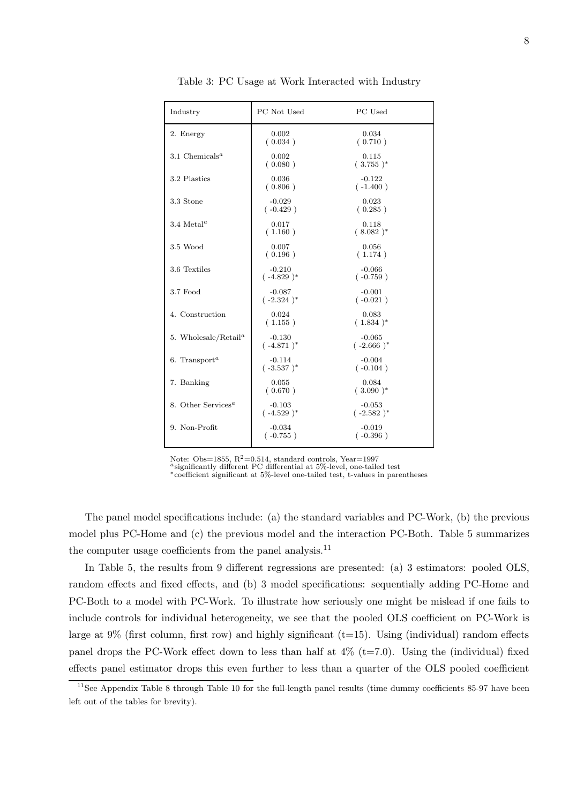| Industry                                      | PC Not Used              | PC Used                  |
|-----------------------------------------------|--------------------------|--------------------------|
| 2. Energy                                     | 0.002<br>(0.034)         | 0.034<br>(0.710)         |
| 3.1 Chemicals <sup>a</sup>                    | 0.002<br>(0.080)         | 0.115<br>$(.3.755)^*$    |
| 3.2 Plastics                                  | 0.036<br>(0.806)         | $-0.122$<br>$(-1.400)$   |
| 3.3 Stone                                     | $-0.029$<br>$(-0.429)$   | 0.023<br>(0.285)         |
| 3.4 Metal <sup><math>a</math></sup>           | 0.017<br>(1.160)         | 0.118<br>$(.8.082)^*$    |
| $3.5$ Wood                                    | 0.007<br>(0.196)         | 0.056<br>(1.174)         |
| 3.6 Textiles                                  | $-0.210$<br>$(-4.829)^*$ | $-0.066$<br>$(-0.759)$   |
| 3.7 Food                                      | $-0.087$<br>$(-2.324)^*$ | $-0.001$<br>$(-0.021)$   |
| 4. Construction                               | 0.024<br>(1.155)         | 0.083<br>$(.1.834)^*$    |
| 5. Wholesale/Retail <sup><math>a</math></sup> | $-0.130$<br>$(-4.871)^*$ | $-0.065$<br>$(-2.666)^*$ |
| 6. Transport <sup><math>a</math></sup>        | $-0.114$<br>$(-3.537)^*$ | $-0.004$<br>$(-0.104)$   |
| 7. Banking                                    | 0.055<br>(0.670)         | 0.084<br>$(.3.090)^*$    |
| 8. Other Services <sup><math>a</math></sup>   | $-0.103$<br>$(-4.529)^*$ | $-0.053$<br>$(-2.582)^*$ |
| 9. Non-Profit                                 | $-0.034$<br>$(-0.755)$   | $-0.019$<br>$(-0.396)$   |

Table 3: PC Usage at Work Interacted with Industry

Note: Obs=1855, R<sup>2</sup>=0.514, standard controls, Year=1997<br><sup>a</sup>significantly different PC differential at 5%-level, one-tailed test

∗coefficient significant at 5%-level one-tailed test, t-values in parentheses

The panel model specifications include: (a) the standard variables and PC-Work, (b) the previous model plus PC-Home and (c) the previous model and the interaction PC-Both. Table 5 summarizes the computer usage coefficients from the panel analysis.<sup>11</sup>

In Table 5, the results from 9 different regressions are presented: (a) 3 estimators: pooled OLS, random effects and fixed effects, and (b) 3 model specifications: sequentially adding PC-Home and PC-Both to a model with PC-Work. To illustrate how seriously one might be mislead if one fails to include controls for individual heterogeneity, we see that the pooled OLS coefficient on PC-Work is large at  $9\%$  (first column, first row) and highly significant (t=15). Using (individual) random effects panel drops the PC-Work effect down to less than half at  $4\%$  (t=7.0). Using the (individual) fixed effects panel estimator drops this even further to less than a quarter of the OLS pooled coefficient

 $11$ See Appendix Table 8 through Table 10 for the full-length panel results (time dummy coefficients 85-97 have been left out of the tables for brevity).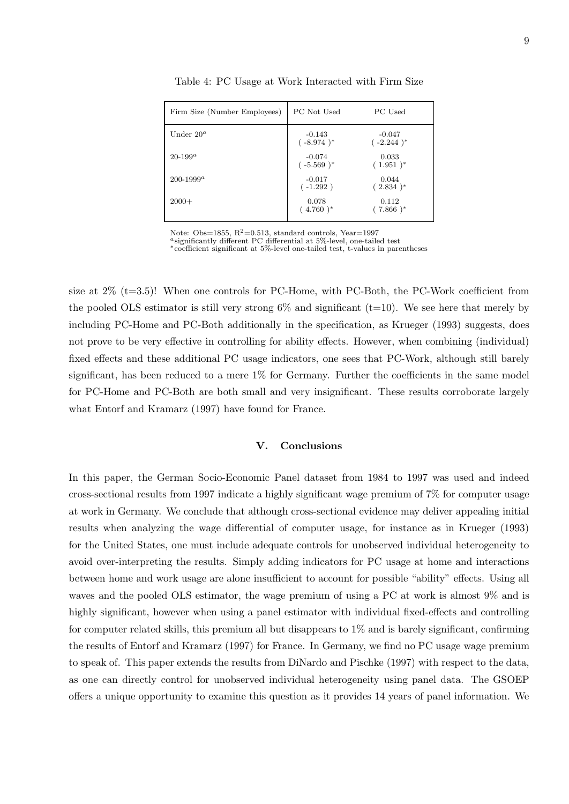| Firm Size (Number Employees) | PC Not Used              | PC Used                       |
|------------------------------|--------------------------|-------------------------------|
| Under $20^a$                 | $-0.143$<br>$(-8.974)^*$ | $-0.047$<br>$(-2.244)^*$      |
| $20 - 199^a$                 | $-0.074$<br>$(-5.569)^*$ | 0.033<br>$(.1.951)^*$         |
| $200 - 1999^a$               | $-0.017$<br>$(-1.292)$   | 0.044<br>$(.2.834)^*$         |
| $2000+$                      | 0.078<br>$(.4.760)^*$    | 0.112<br>$7.866$ <sup>*</sup> |

Table 4: PC Usage at Work Interacted with Firm Size

Note: Obs=1855, R<sup>2</sup>=0.513, standard controls, Year=1997 <br><sup>a</sup>significantly different PC differential at 5%-level, one-tailed test

∗coefficient significant at 5%-level one-tailed test, t-values in parentheses

size at  $2\%$  (t=3.5)! When one controls for PC-Home, with PC-Both, the PC-Work coefficient from the pooled OLS estimator is still very strong  $6\%$  and significant (t=10). We see here that merely by including PC-Home and PC-Both additionally in the specification, as Krueger (1993) suggests, does not prove to be very effective in controlling for ability effects. However, when combining (individual) fixed effects and these additional PC usage indicators, one sees that PC-Work, although still barely significant, has been reduced to a mere 1% for Germany. Further the coefficients in the same model for PC-Home and PC-Both are both small and very insignificant. These results corroborate largely what Entorf and Kramarz (1997) have found for France.

#### **V. Conclusions**

In this paper, the German Socio-Economic Panel dataset from 1984 to 1997 was used and indeed cross-sectional results from 1997 indicate a highly significant wage premium of 7% for computer usage at work in Germany. We conclude that although cross-sectional evidence may deliver appealing initial results when analyzing the wage differential of computer usage, for instance as in Krueger (1993) for the United States, one must include adequate controls for unobserved individual heterogeneity to avoid over-interpreting the results. Simply adding indicators for PC usage at home and interactions between home and work usage are alone insufficient to account for possible "ability" effects. Using all waves and the pooled OLS estimator, the wage premium of using a PC at work is almost 9% and is highly significant, however when using a panel estimator with individual fixed-effects and controlling for computer related skills, this premium all but disappears to 1% and is barely significant, confirming the results of Entorf and Kramarz (1997) for France. In Germany, we find no PC usage wage premium to speak of. This paper extends the results from DiNardo and Pischke (1997) with respect to the data, as one can directly control for unobserved individual heterogeneity using panel data. The GSOEP offers a unique opportunity to examine this question as it provides 14 years of panel information. We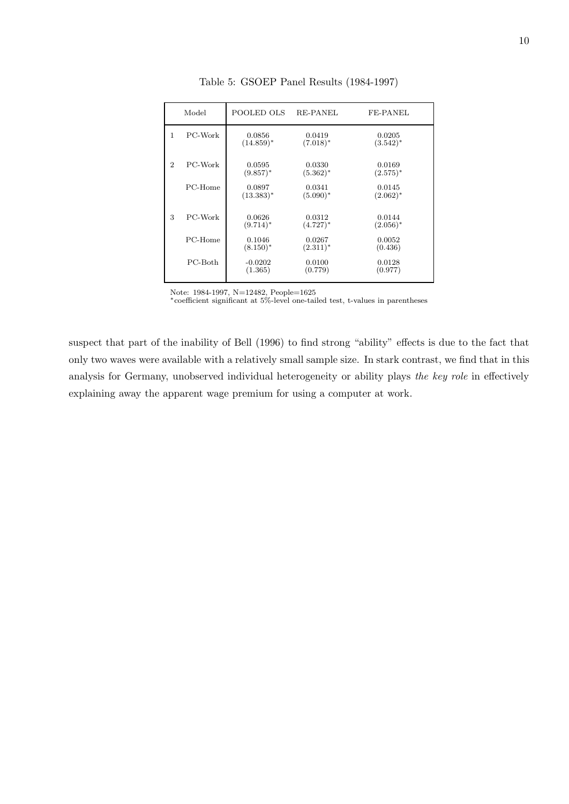|                | Model   | POOLED OLS             | <b>RE-PANEL</b>       | FE-PANEL              |
|----------------|---------|------------------------|-----------------------|-----------------------|
| 1              | PC-Work | 0.0856<br>$(14.859)^*$ | 0.0419<br>$(7.018)^*$ | 0.0205<br>$(3.542)^*$ |
| $\overline{2}$ | PC-Work | 0.0595<br>$(9.857)^*$  | 0.0330<br>$(5.362)^*$ | 0.0169<br>$(2.575)^*$ |
|                | PC-Home | 0.0897<br>$(13.383)*$  | 0.0341<br>$(5.090)^*$ | 0.0145<br>$(2.062)^*$ |
| 3              | PC-Work | 0.0626<br>$(9.714)^*$  | 0.0312<br>$(4.727)^*$ | 0.0144<br>$(2.056)^*$ |
|                | PC-Home | 0.1046<br>$(8.150)^*$  | 0.0267<br>$(2.311)^*$ | 0.0052<br>(0.436)     |
|                | PC-Both | $-0.0202$<br>(1.365)   | 0.0100<br>(0.779)     | 0.0128<br>(0.977)     |
|                |         |                        |                       |                       |

Table 5: GSOEP Panel Results (1984-1997)

Note: 1984-1997, N=12482, People=1625

∗coefficient significant at 5%-level one-tailed test, t-values in parentheses

suspect that part of the inability of Bell (1996) to find strong "ability" effects is due to the fact that only two waves were available with a relatively small sample size. In stark contrast, we find that in this analysis for Germany, unobserved individual heterogeneity or ability plays *the key role* in effectively explaining away the apparent wage premium for using a computer at work.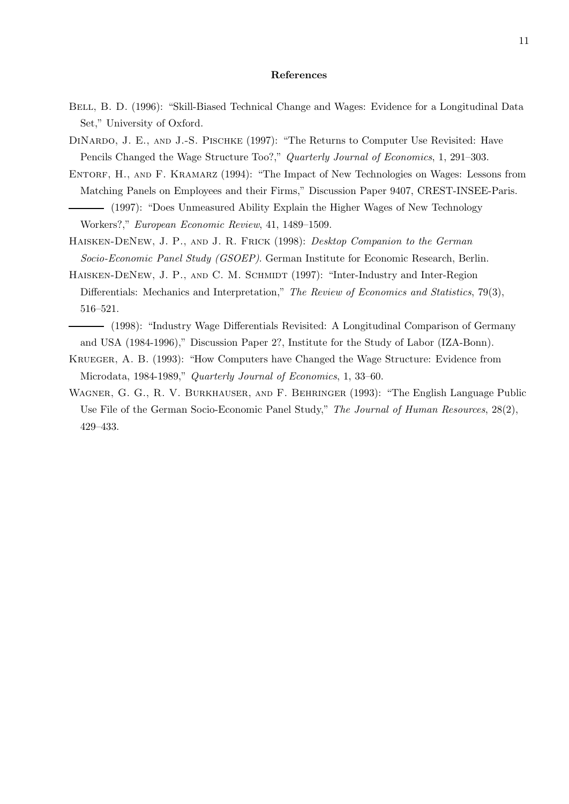#### **References**

- BELL, B. D. (1996): "Skill-Biased Technical Change and Wages: Evidence for a Longitudinal Data Set," University of Oxford.
- DINARDO, J. E., AND J.-S. PISCHKE (1997): "The Returns to Computer Use Revisited: Have Pencils Changed the Wage Structure Too?," *Quarterly Journal of Economics*, 1, 291–303.
- ENTORF, H., AND F. KRAMARZ (1994): "The Impact of New Technologies on Wages: Lessons from Matching Panels on Employees and their Firms," Discussion Paper 9407, CREST-INSEE-Paris. (1997): "Does Unmeasured Ability Explain the Higher Wages of New Technology Workers?," *European Economic Review*, 41, 1489–1509.
- Haisken-DeNew, J. P., and J. R. Frick (1998): *Desktop Companion to the German Socio-Economic Panel Study (GSOEP)*. German Institute for Economic Research, Berlin.
- HAISKEN-DENEW, J. P., AND C. M. SCHMIDT (1997): "Inter-Industry and Inter-Region Differentials: Mechanics and Interpretation," *The Review of Economics and Statistics*, 79(3), 516–521.
- (1998): "Industry Wage Differentials Revisited: A Longitudinal Comparison of Germany and USA (1984-1996)," Discussion Paper 2?, Institute for the Study of Labor (IZA-Bonn).
- Krueger, A. B. (1993): "How Computers have Changed the Wage Structure: Evidence from Microdata, 1984-1989," *Quarterly Journal of Economics*, 1, 33–60.
- Wagner, G. G., R. V. Burkhauser, and F. Behringer (1993): "The English Language Public Use File of the German Socio-Economic Panel Study," *The Journal of Human Resources*, 28(2), 429–433.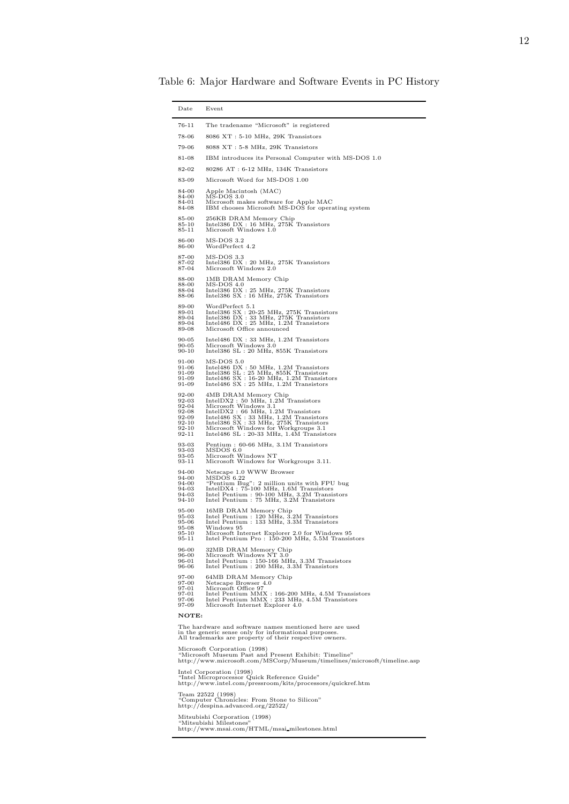Table 6: Major Hardware and Software Events in PC History

| The tradename "Microsoft" is registered<br>76-11<br>78-06<br>8086 XT: 5-10 MHz, 29K Transistors<br>79-06<br>8088 XT: 5-8 MHz, 29K Transistors<br>81-08<br>IBM introduces its Personal Computer with MS-DOS 1.0<br>80286 AT: 6-12 MHz, 134K Transistors<br>82-02<br>83-09<br>Microsoft Word for MS-DOS 1.00<br>84-00<br>Apple Macintosh (MAC)<br>$\overline{\text{MS-DOS}}$ 3.0<br>84-00<br>Microsoft makes software for Apple MAC<br>84-01<br>IBM chooses Microsoft MS-DOS for operating system<br>84-08<br>85-00<br>256KB DRAM Memory Chip<br>Intel386 DX: 16 MHz, 275K Transistors<br>85-10<br>Microsoft Windows 1.0<br>85-11<br>MS-DOS 3.2<br>86-00<br>WordPerfect 4.2<br>86-00<br>MS-DOS 3.3<br>87-00<br>87-02<br>Intel386 DX: 20 MHz, 275K Transistors<br>87-04<br>Microsoft Windows 2.0<br>88-00<br>1MB DRAM Memory Chip<br>88-00<br>MS-DOS 4.0<br>Intel386 DX: 25 MHz, 275K Transistors<br>88-04<br>Intel386 SX: 16 MHz, 275K Transistors<br>88-06<br>89-00<br>WordPerfect 5.1<br>Intel386 SX : 20-25 MHz, 275K Transistors<br>Intel386 SX : 33 MHz, 275K Transistors<br>Intel486 DX : 25 MHz, 1.2M Transistors<br>89-01<br>89-04<br>89-04<br>89-08<br>Microsoft Office announced<br>Intel486 DX: 33 MHz, 1.2M Transistors<br>90-05<br>Microsoft Windows 3.0<br>$90 - 05$<br>$90 - 10$<br>Intel386 SL : 20 MHz, 855K Transistors<br>91-00<br>$MS-DOS 5.0$<br>$\begin{array}{l} \text{Intel486 DX}: 50 MHz, 1.2M Transistors\\ \text{Intel386 SL}: 25 MHz, 855K Transistors\\ \end{array}$<br>91-06<br>91-09<br>Intel486 SX : 16-20 MHz, 1.2M Transistors<br>Intel486 SX : 25 MHz, 1.2M Transistors<br>91-09<br>91-09<br>92-00<br>4MB DRAM Memory Chip<br>IntelDX2 : 50 MHz, 1.2M Transistors<br>Microsoft Windows 3.1<br>92-03<br>92-04<br>$\begin{array}{l} \text{IntelDX2}: 66 \text{ MHz, } 1.2\text{M} \text{ Transistors} \\ \text{Intel486 SX}: 33 \text{ MHz, } 1.2\text{M} \text{ Transistors} \end{array}$<br>92-08<br>92-09<br>Intel386 SX: 33 MHz, 275K Transistors<br>92-10<br>$92 - 10$<br>Microsoft Windows for Workgroups 3.1<br>92-11<br>Intel $486$ SL : $20-33$ MHz, $1.4M$ Transistors<br>93-03<br>Pentium: 60-66 MHz, 3.1M Transistors<br>93-03<br>MSDOS 6.0<br>93-05<br>Microsoft Windows NT<br>93-11<br>Microsoft Windows for Workgroups 3.11.<br>Netscape 1.0 WWW Browser<br>94-00<br>MSDOS 6.22<br>94-00<br>"Pentium Bug": 2 million units with FPU bug<br>94-00<br>IntelDX4: 75-100 MHz, 1.6M Transistors<br>94-03<br>Intel Pentium: 90-100 MHz, 3.2M Transistors<br>94-03<br>Intel Pentium : 75 MHz, 3.2M Transistors<br>94-10<br>95-00<br>16MB DRAM Memory Chip<br>Intel Pentium : 120 MHz, 3.2M Transistors<br>Intel Pentium : 133 MHz, 3.3M Transistors<br>95-03<br>95-06<br>$95 - 08$<br>Windows 95<br>Microsoft Internet Explorer 2.0 for Windows 95<br>95-10<br>95-11<br>Intel Pentium Pro: 150-200 MHz, 5.5M Transistors<br>32MB DRAM Memory Chip<br>96-00<br>Microsoft Windows NT 3.0<br>96-00<br>Intel Pentium : 150-166 MHz, 3.3M Transistors<br>96-01<br>Intel Pentium : 200 MHz, 3.3M Transistors<br>96-06<br>97-00<br>64MB DRAM Memory Chip<br>97-00<br>Netscape Browser 4.0<br>97-01<br>Microsoft Office 97<br>Intel Pentium MMX : 166-200 MHz, 4.5M Transistors<br>97-01<br>Intel Pentium MMX : 233 MHz, 4.5M Transistors<br>97-06<br>97-09<br>Microsoft Internet Explorer 4.0<br>NOTE:<br>The hardware and software names mentioned here are used<br>in the generic sense only for informational purposes.<br>All trademarks are property of their respective owners.<br>Microsoft Corporation (1998)<br>"Microsoft Museum Past and Present Exhibit: Timeline"<br>http://www.microsoft.com/MSCorp/Museum/timelines/microsoft/timeline.asp<br>Intel Corporation (1998)<br>"Intel Microprocessor Quick Reference Guide"<br>http://www.intel.com/pressroom/kits/processors/quickref.htm<br>Team 22522 (1998)<br>"Computer Chronicles: From Stone to Silicon"<br>http://despina.advanced.org/22522/<br>Mitsubishi Corporation (1998)<br>"Mitsubishi Milestones"<br>http://www.msai.com/HTML/msai_milestones.html | Date | Event |  |
|---------------------------------------------------------------------------------------------------------------------------------------------------------------------------------------------------------------------------------------------------------------------------------------------------------------------------------------------------------------------------------------------------------------------------------------------------------------------------------------------------------------------------------------------------------------------------------------------------------------------------------------------------------------------------------------------------------------------------------------------------------------------------------------------------------------------------------------------------------------------------------------------------------------------------------------------------------------------------------------------------------------------------------------------------------------------------------------------------------------------------------------------------------------------------------------------------------------------------------------------------------------------------------------------------------------------------------------------------------------------------------------------------------------------------------------------------------------------------------------------------------------------------------------------------------------------------------------------------------------------------------------------------------------------------------------------------------------------------------------------------------------------------------------------------------------------------------------------------------------------------------------------------------------------------------------------------------------------------------------------------------------------------------------------------------------------------------------------------------------------------------------------------------------------------------------------------------------------------------------------------------------------------------------------------------------------------------------------------------------------------------------------------------------------------------------------------------------------------------------------------------------------------------------------------------------------------------------------------------------------------------------------------------------------------------------------------------------------------------------------------------------------------------------------------------------------------------------------------------------------------------------------------------------------------------------------------------------------------------------------------------------------------------------------------------------------------------------------------------------------------------------------------------------------------------------------------------------------------------------------------------------------------------------------------------------------------------------------------------------------------------------------------------------------------------------------------------------------------------------------------------------------------------------------------------------------------------------------------------------------------------------------------------------------------------------------------------------------------------------------------------------------------------------------------------------------------------------------------------------------------------------------------------------------------------------------------------------------------------------------------------------------------------------------------------------|------|-------|--|
|                                                                                                                                                                                                                                                                                                                                                                                                                                                                                                                                                                                                                                                                                                                                                                                                                                                                                                                                                                                                                                                                                                                                                                                                                                                                                                                                                                                                                                                                                                                                                                                                                                                                                                                                                                                                                                                                                                                                                                                                                                                                                                                                                                                                                                                                                                                                                                                                                                                                                                                                                                                                                                                                                                                                                                                                                                                                                                                                                                                                                                                                                                                                                                                                                                                                                                                                                                                                                                                                                                                                                                                                                                                                                                                                                                                                                                                                                                                                                                                                                                                               |      |       |  |
|                                                                                                                                                                                                                                                                                                                                                                                                                                                                                                                                                                                                                                                                                                                                                                                                                                                                                                                                                                                                                                                                                                                                                                                                                                                                                                                                                                                                                                                                                                                                                                                                                                                                                                                                                                                                                                                                                                                                                                                                                                                                                                                                                                                                                                                                                                                                                                                                                                                                                                                                                                                                                                                                                                                                                                                                                                                                                                                                                                                                                                                                                                                                                                                                                                                                                                                                                                                                                                                                                                                                                                                                                                                                                                                                                                                                                                                                                                                                                                                                                                                               |      |       |  |
|                                                                                                                                                                                                                                                                                                                                                                                                                                                                                                                                                                                                                                                                                                                                                                                                                                                                                                                                                                                                                                                                                                                                                                                                                                                                                                                                                                                                                                                                                                                                                                                                                                                                                                                                                                                                                                                                                                                                                                                                                                                                                                                                                                                                                                                                                                                                                                                                                                                                                                                                                                                                                                                                                                                                                                                                                                                                                                                                                                                                                                                                                                                                                                                                                                                                                                                                                                                                                                                                                                                                                                                                                                                                                                                                                                                                                                                                                                                                                                                                                                                               |      |       |  |
|                                                                                                                                                                                                                                                                                                                                                                                                                                                                                                                                                                                                                                                                                                                                                                                                                                                                                                                                                                                                                                                                                                                                                                                                                                                                                                                                                                                                                                                                                                                                                                                                                                                                                                                                                                                                                                                                                                                                                                                                                                                                                                                                                                                                                                                                                                                                                                                                                                                                                                                                                                                                                                                                                                                                                                                                                                                                                                                                                                                                                                                                                                                                                                                                                                                                                                                                                                                                                                                                                                                                                                                                                                                                                                                                                                                                                                                                                                                                                                                                                                                               |      |       |  |
|                                                                                                                                                                                                                                                                                                                                                                                                                                                                                                                                                                                                                                                                                                                                                                                                                                                                                                                                                                                                                                                                                                                                                                                                                                                                                                                                                                                                                                                                                                                                                                                                                                                                                                                                                                                                                                                                                                                                                                                                                                                                                                                                                                                                                                                                                                                                                                                                                                                                                                                                                                                                                                                                                                                                                                                                                                                                                                                                                                                                                                                                                                                                                                                                                                                                                                                                                                                                                                                                                                                                                                                                                                                                                                                                                                                                                                                                                                                                                                                                                                                               |      |       |  |
|                                                                                                                                                                                                                                                                                                                                                                                                                                                                                                                                                                                                                                                                                                                                                                                                                                                                                                                                                                                                                                                                                                                                                                                                                                                                                                                                                                                                                                                                                                                                                                                                                                                                                                                                                                                                                                                                                                                                                                                                                                                                                                                                                                                                                                                                                                                                                                                                                                                                                                                                                                                                                                                                                                                                                                                                                                                                                                                                                                                                                                                                                                                                                                                                                                                                                                                                                                                                                                                                                                                                                                                                                                                                                                                                                                                                                                                                                                                                                                                                                                                               |      |       |  |
|                                                                                                                                                                                                                                                                                                                                                                                                                                                                                                                                                                                                                                                                                                                                                                                                                                                                                                                                                                                                                                                                                                                                                                                                                                                                                                                                                                                                                                                                                                                                                                                                                                                                                                                                                                                                                                                                                                                                                                                                                                                                                                                                                                                                                                                                                                                                                                                                                                                                                                                                                                                                                                                                                                                                                                                                                                                                                                                                                                                                                                                                                                                                                                                                                                                                                                                                                                                                                                                                                                                                                                                                                                                                                                                                                                                                                                                                                                                                                                                                                                                               |      |       |  |
|                                                                                                                                                                                                                                                                                                                                                                                                                                                                                                                                                                                                                                                                                                                                                                                                                                                                                                                                                                                                                                                                                                                                                                                                                                                                                                                                                                                                                                                                                                                                                                                                                                                                                                                                                                                                                                                                                                                                                                                                                                                                                                                                                                                                                                                                                                                                                                                                                                                                                                                                                                                                                                                                                                                                                                                                                                                                                                                                                                                                                                                                                                                                                                                                                                                                                                                                                                                                                                                                                                                                                                                                                                                                                                                                                                                                                                                                                                                                                                                                                                                               |      |       |  |
|                                                                                                                                                                                                                                                                                                                                                                                                                                                                                                                                                                                                                                                                                                                                                                                                                                                                                                                                                                                                                                                                                                                                                                                                                                                                                                                                                                                                                                                                                                                                                                                                                                                                                                                                                                                                                                                                                                                                                                                                                                                                                                                                                                                                                                                                                                                                                                                                                                                                                                                                                                                                                                                                                                                                                                                                                                                                                                                                                                                                                                                                                                                                                                                                                                                                                                                                                                                                                                                                                                                                                                                                                                                                                                                                                                                                                                                                                                                                                                                                                                                               |      |       |  |
|                                                                                                                                                                                                                                                                                                                                                                                                                                                                                                                                                                                                                                                                                                                                                                                                                                                                                                                                                                                                                                                                                                                                                                                                                                                                                                                                                                                                                                                                                                                                                                                                                                                                                                                                                                                                                                                                                                                                                                                                                                                                                                                                                                                                                                                                                                                                                                                                                                                                                                                                                                                                                                                                                                                                                                                                                                                                                                                                                                                                                                                                                                                                                                                                                                                                                                                                                                                                                                                                                                                                                                                                                                                                                                                                                                                                                                                                                                                                                                                                                                                               |      |       |  |
|                                                                                                                                                                                                                                                                                                                                                                                                                                                                                                                                                                                                                                                                                                                                                                                                                                                                                                                                                                                                                                                                                                                                                                                                                                                                                                                                                                                                                                                                                                                                                                                                                                                                                                                                                                                                                                                                                                                                                                                                                                                                                                                                                                                                                                                                                                                                                                                                                                                                                                                                                                                                                                                                                                                                                                                                                                                                                                                                                                                                                                                                                                                                                                                                                                                                                                                                                                                                                                                                                                                                                                                                                                                                                                                                                                                                                                                                                                                                                                                                                                                               |      |       |  |
|                                                                                                                                                                                                                                                                                                                                                                                                                                                                                                                                                                                                                                                                                                                                                                                                                                                                                                                                                                                                                                                                                                                                                                                                                                                                                                                                                                                                                                                                                                                                                                                                                                                                                                                                                                                                                                                                                                                                                                                                                                                                                                                                                                                                                                                                                                                                                                                                                                                                                                                                                                                                                                                                                                                                                                                                                                                                                                                                                                                                                                                                                                                                                                                                                                                                                                                                                                                                                                                                                                                                                                                                                                                                                                                                                                                                                                                                                                                                                                                                                                                               |      |       |  |
|                                                                                                                                                                                                                                                                                                                                                                                                                                                                                                                                                                                                                                                                                                                                                                                                                                                                                                                                                                                                                                                                                                                                                                                                                                                                                                                                                                                                                                                                                                                                                                                                                                                                                                                                                                                                                                                                                                                                                                                                                                                                                                                                                                                                                                                                                                                                                                                                                                                                                                                                                                                                                                                                                                                                                                                                                                                                                                                                                                                                                                                                                                                                                                                                                                                                                                                                                                                                                                                                                                                                                                                                                                                                                                                                                                                                                                                                                                                                                                                                                                                               |      |       |  |
|                                                                                                                                                                                                                                                                                                                                                                                                                                                                                                                                                                                                                                                                                                                                                                                                                                                                                                                                                                                                                                                                                                                                                                                                                                                                                                                                                                                                                                                                                                                                                                                                                                                                                                                                                                                                                                                                                                                                                                                                                                                                                                                                                                                                                                                                                                                                                                                                                                                                                                                                                                                                                                                                                                                                                                                                                                                                                                                                                                                                                                                                                                                                                                                                                                                                                                                                                                                                                                                                                                                                                                                                                                                                                                                                                                                                                                                                                                                                                                                                                                                               |      |       |  |
|                                                                                                                                                                                                                                                                                                                                                                                                                                                                                                                                                                                                                                                                                                                                                                                                                                                                                                                                                                                                                                                                                                                                                                                                                                                                                                                                                                                                                                                                                                                                                                                                                                                                                                                                                                                                                                                                                                                                                                                                                                                                                                                                                                                                                                                                                                                                                                                                                                                                                                                                                                                                                                                                                                                                                                                                                                                                                                                                                                                                                                                                                                                                                                                                                                                                                                                                                                                                                                                                                                                                                                                                                                                                                                                                                                                                                                                                                                                                                                                                                                                               |      |       |  |
|                                                                                                                                                                                                                                                                                                                                                                                                                                                                                                                                                                                                                                                                                                                                                                                                                                                                                                                                                                                                                                                                                                                                                                                                                                                                                                                                                                                                                                                                                                                                                                                                                                                                                                                                                                                                                                                                                                                                                                                                                                                                                                                                                                                                                                                                                                                                                                                                                                                                                                                                                                                                                                                                                                                                                                                                                                                                                                                                                                                                                                                                                                                                                                                                                                                                                                                                                                                                                                                                                                                                                                                                                                                                                                                                                                                                                                                                                                                                                                                                                                                               |      |       |  |
|                                                                                                                                                                                                                                                                                                                                                                                                                                                                                                                                                                                                                                                                                                                                                                                                                                                                                                                                                                                                                                                                                                                                                                                                                                                                                                                                                                                                                                                                                                                                                                                                                                                                                                                                                                                                                                                                                                                                                                                                                                                                                                                                                                                                                                                                                                                                                                                                                                                                                                                                                                                                                                                                                                                                                                                                                                                                                                                                                                                                                                                                                                                                                                                                                                                                                                                                                                                                                                                                                                                                                                                                                                                                                                                                                                                                                                                                                                                                                                                                                                                               |      |       |  |
|                                                                                                                                                                                                                                                                                                                                                                                                                                                                                                                                                                                                                                                                                                                                                                                                                                                                                                                                                                                                                                                                                                                                                                                                                                                                                                                                                                                                                                                                                                                                                                                                                                                                                                                                                                                                                                                                                                                                                                                                                                                                                                                                                                                                                                                                                                                                                                                                                                                                                                                                                                                                                                                                                                                                                                                                                                                                                                                                                                                                                                                                                                                                                                                                                                                                                                                                                                                                                                                                                                                                                                                                                                                                                                                                                                                                                                                                                                                                                                                                                                                               |      |       |  |
|                                                                                                                                                                                                                                                                                                                                                                                                                                                                                                                                                                                                                                                                                                                                                                                                                                                                                                                                                                                                                                                                                                                                                                                                                                                                                                                                                                                                                                                                                                                                                                                                                                                                                                                                                                                                                                                                                                                                                                                                                                                                                                                                                                                                                                                                                                                                                                                                                                                                                                                                                                                                                                                                                                                                                                                                                                                                                                                                                                                                                                                                                                                                                                                                                                                                                                                                                                                                                                                                                                                                                                                                                                                                                                                                                                                                                                                                                                                                                                                                                                                               |      |       |  |
|                                                                                                                                                                                                                                                                                                                                                                                                                                                                                                                                                                                                                                                                                                                                                                                                                                                                                                                                                                                                                                                                                                                                                                                                                                                                                                                                                                                                                                                                                                                                                                                                                                                                                                                                                                                                                                                                                                                                                                                                                                                                                                                                                                                                                                                                                                                                                                                                                                                                                                                                                                                                                                                                                                                                                                                                                                                                                                                                                                                                                                                                                                                                                                                                                                                                                                                                                                                                                                                                                                                                                                                                                                                                                                                                                                                                                                                                                                                                                                                                                                                               |      |       |  |
|                                                                                                                                                                                                                                                                                                                                                                                                                                                                                                                                                                                                                                                                                                                                                                                                                                                                                                                                                                                                                                                                                                                                                                                                                                                                                                                                                                                                                                                                                                                                                                                                                                                                                                                                                                                                                                                                                                                                                                                                                                                                                                                                                                                                                                                                                                                                                                                                                                                                                                                                                                                                                                                                                                                                                                                                                                                                                                                                                                                                                                                                                                                                                                                                                                                                                                                                                                                                                                                                                                                                                                                                                                                                                                                                                                                                                                                                                                                                                                                                                                                               |      |       |  |
|                                                                                                                                                                                                                                                                                                                                                                                                                                                                                                                                                                                                                                                                                                                                                                                                                                                                                                                                                                                                                                                                                                                                                                                                                                                                                                                                                                                                                                                                                                                                                                                                                                                                                                                                                                                                                                                                                                                                                                                                                                                                                                                                                                                                                                                                                                                                                                                                                                                                                                                                                                                                                                                                                                                                                                                                                                                                                                                                                                                                                                                                                                                                                                                                                                                                                                                                                                                                                                                                                                                                                                                                                                                                                                                                                                                                                                                                                                                                                                                                                                                               |      |       |  |
|                                                                                                                                                                                                                                                                                                                                                                                                                                                                                                                                                                                                                                                                                                                                                                                                                                                                                                                                                                                                                                                                                                                                                                                                                                                                                                                                                                                                                                                                                                                                                                                                                                                                                                                                                                                                                                                                                                                                                                                                                                                                                                                                                                                                                                                                                                                                                                                                                                                                                                                                                                                                                                                                                                                                                                                                                                                                                                                                                                                                                                                                                                                                                                                                                                                                                                                                                                                                                                                                                                                                                                                                                                                                                                                                                                                                                                                                                                                                                                                                                                                               |      |       |  |
|                                                                                                                                                                                                                                                                                                                                                                                                                                                                                                                                                                                                                                                                                                                                                                                                                                                                                                                                                                                                                                                                                                                                                                                                                                                                                                                                                                                                                                                                                                                                                                                                                                                                                                                                                                                                                                                                                                                                                                                                                                                                                                                                                                                                                                                                                                                                                                                                                                                                                                                                                                                                                                                                                                                                                                                                                                                                                                                                                                                                                                                                                                                                                                                                                                                                                                                                                                                                                                                                                                                                                                                                                                                                                                                                                                                                                                                                                                                                                                                                                                                               |      |       |  |
|                                                                                                                                                                                                                                                                                                                                                                                                                                                                                                                                                                                                                                                                                                                                                                                                                                                                                                                                                                                                                                                                                                                                                                                                                                                                                                                                                                                                                                                                                                                                                                                                                                                                                                                                                                                                                                                                                                                                                                                                                                                                                                                                                                                                                                                                                                                                                                                                                                                                                                                                                                                                                                                                                                                                                                                                                                                                                                                                                                                                                                                                                                                                                                                                                                                                                                                                                                                                                                                                                                                                                                                                                                                                                                                                                                                                                                                                                                                                                                                                                                                               |      |       |  |
|                                                                                                                                                                                                                                                                                                                                                                                                                                                                                                                                                                                                                                                                                                                                                                                                                                                                                                                                                                                                                                                                                                                                                                                                                                                                                                                                                                                                                                                                                                                                                                                                                                                                                                                                                                                                                                                                                                                                                                                                                                                                                                                                                                                                                                                                                                                                                                                                                                                                                                                                                                                                                                                                                                                                                                                                                                                                                                                                                                                                                                                                                                                                                                                                                                                                                                                                                                                                                                                                                                                                                                                                                                                                                                                                                                                                                                                                                                                                                                                                                                                               |      |       |  |
|                                                                                                                                                                                                                                                                                                                                                                                                                                                                                                                                                                                                                                                                                                                                                                                                                                                                                                                                                                                                                                                                                                                                                                                                                                                                                                                                                                                                                                                                                                                                                                                                                                                                                                                                                                                                                                                                                                                                                                                                                                                                                                                                                                                                                                                                                                                                                                                                                                                                                                                                                                                                                                                                                                                                                                                                                                                                                                                                                                                                                                                                                                                                                                                                                                                                                                                                                                                                                                                                                                                                                                                                                                                                                                                                                                                                                                                                                                                                                                                                                                                               |      |       |  |
|                                                                                                                                                                                                                                                                                                                                                                                                                                                                                                                                                                                                                                                                                                                                                                                                                                                                                                                                                                                                                                                                                                                                                                                                                                                                                                                                                                                                                                                                                                                                                                                                                                                                                                                                                                                                                                                                                                                                                                                                                                                                                                                                                                                                                                                                                                                                                                                                                                                                                                                                                                                                                                                                                                                                                                                                                                                                                                                                                                                                                                                                                                                                                                                                                                                                                                                                                                                                                                                                                                                                                                                                                                                                                                                                                                                                                                                                                                                                                                                                                                                               |      |       |  |
|                                                                                                                                                                                                                                                                                                                                                                                                                                                                                                                                                                                                                                                                                                                                                                                                                                                                                                                                                                                                                                                                                                                                                                                                                                                                                                                                                                                                                                                                                                                                                                                                                                                                                                                                                                                                                                                                                                                                                                                                                                                                                                                                                                                                                                                                                                                                                                                                                                                                                                                                                                                                                                                                                                                                                                                                                                                                                                                                                                                                                                                                                                                                                                                                                                                                                                                                                                                                                                                                                                                                                                                                                                                                                                                                                                                                                                                                                                                                                                                                                                                               |      |       |  |
|                                                                                                                                                                                                                                                                                                                                                                                                                                                                                                                                                                                                                                                                                                                                                                                                                                                                                                                                                                                                                                                                                                                                                                                                                                                                                                                                                                                                                                                                                                                                                                                                                                                                                                                                                                                                                                                                                                                                                                                                                                                                                                                                                                                                                                                                                                                                                                                                                                                                                                                                                                                                                                                                                                                                                                                                                                                                                                                                                                                                                                                                                                                                                                                                                                                                                                                                                                                                                                                                                                                                                                                                                                                                                                                                                                                                                                                                                                                                                                                                                                                               |      |       |  |
|                                                                                                                                                                                                                                                                                                                                                                                                                                                                                                                                                                                                                                                                                                                                                                                                                                                                                                                                                                                                                                                                                                                                                                                                                                                                                                                                                                                                                                                                                                                                                                                                                                                                                                                                                                                                                                                                                                                                                                                                                                                                                                                                                                                                                                                                                                                                                                                                                                                                                                                                                                                                                                                                                                                                                                                                                                                                                                                                                                                                                                                                                                                                                                                                                                                                                                                                                                                                                                                                                                                                                                                                                                                                                                                                                                                                                                                                                                                                                                                                                                                               |      |       |  |
|                                                                                                                                                                                                                                                                                                                                                                                                                                                                                                                                                                                                                                                                                                                                                                                                                                                                                                                                                                                                                                                                                                                                                                                                                                                                                                                                                                                                                                                                                                                                                                                                                                                                                                                                                                                                                                                                                                                                                                                                                                                                                                                                                                                                                                                                                                                                                                                                                                                                                                                                                                                                                                                                                                                                                                                                                                                                                                                                                                                                                                                                                                                                                                                                                                                                                                                                                                                                                                                                                                                                                                                                                                                                                                                                                                                                                                                                                                                                                                                                                                                               |      |       |  |
|                                                                                                                                                                                                                                                                                                                                                                                                                                                                                                                                                                                                                                                                                                                                                                                                                                                                                                                                                                                                                                                                                                                                                                                                                                                                                                                                                                                                                                                                                                                                                                                                                                                                                                                                                                                                                                                                                                                                                                                                                                                                                                                                                                                                                                                                                                                                                                                                                                                                                                                                                                                                                                                                                                                                                                                                                                                                                                                                                                                                                                                                                                                                                                                                                                                                                                                                                                                                                                                                                                                                                                                                                                                                                                                                                                                                                                                                                                                                                                                                                                                               |      |       |  |
|                                                                                                                                                                                                                                                                                                                                                                                                                                                                                                                                                                                                                                                                                                                                                                                                                                                                                                                                                                                                                                                                                                                                                                                                                                                                                                                                                                                                                                                                                                                                                                                                                                                                                                                                                                                                                                                                                                                                                                                                                                                                                                                                                                                                                                                                                                                                                                                                                                                                                                                                                                                                                                                                                                                                                                                                                                                                                                                                                                                                                                                                                                                                                                                                                                                                                                                                                                                                                                                                                                                                                                                                                                                                                                                                                                                                                                                                                                                                                                                                                                                               |      |       |  |
|                                                                                                                                                                                                                                                                                                                                                                                                                                                                                                                                                                                                                                                                                                                                                                                                                                                                                                                                                                                                                                                                                                                                                                                                                                                                                                                                                                                                                                                                                                                                                                                                                                                                                                                                                                                                                                                                                                                                                                                                                                                                                                                                                                                                                                                                                                                                                                                                                                                                                                                                                                                                                                                                                                                                                                                                                                                                                                                                                                                                                                                                                                                                                                                                                                                                                                                                                                                                                                                                                                                                                                                                                                                                                                                                                                                                                                                                                                                                                                                                                                                               |      |       |  |
|                                                                                                                                                                                                                                                                                                                                                                                                                                                                                                                                                                                                                                                                                                                                                                                                                                                                                                                                                                                                                                                                                                                                                                                                                                                                                                                                                                                                                                                                                                                                                                                                                                                                                                                                                                                                                                                                                                                                                                                                                                                                                                                                                                                                                                                                                                                                                                                                                                                                                                                                                                                                                                                                                                                                                                                                                                                                                                                                                                                                                                                                                                                                                                                                                                                                                                                                                                                                                                                                                                                                                                                                                                                                                                                                                                                                                                                                                                                                                                                                                                                               |      |       |  |
|                                                                                                                                                                                                                                                                                                                                                                                                                                                                                                                                                                                                                                                                                                                                                                                                                                                                                                                                                                                                                                                                                                                                                                                                                                                                                                                                                                                                                                                                                                                                                                                                                                                                                                                                                                                                                                                                                                                                                                                                                                                                                                                                                                                                                                                                                                                                                                                                                                                                                                                                                                                                                                                                                                                                                                                                                                                                                                                                                                                                                                                                                                                                                                                                                                                                                                                                                                                                                                                                                                                                                                                                                                                                                                                                                                                                                                                                                                                                                                                                                                                               |      |       |  |
|                                                                                                                                                                                                                                                                                                                                                                                                                                                                                                                                                                                                                                                                                                                                                                                                                                                                                                                                                                                                                                                                                                                                                                                                                                                                                                                                                                                                                                                                                                                                                                                                                                                                                                                                                                                                                                                                                                                                                                                                                                                                                                                                                                                                                                                                                                                                                                                                                                                                                                                                                                                                                                                                                                                                                                                                                                                                                                                                                                                                                                                                                                                                                                                                                                                                                                                                                                                                                                                                                                                                                                                                                                                                                                                                                                                                                                                                                                                                                                                                                                                               |      |       |  |
|                                                                                                                                                                                                                                                                                                                                                                                                                                                                                                                                                                                                                                                                                                                                                                                                                                                                                                                                                                                                                                                                                                                                                                                                                                                                                                                                                                                                                                                                                                                                                                                                                                                                                                                                                                                                                                                                                                                                                                                                                                                                                                                                                                                                                                                                                                                                                                                                                                                                                                                                                                                                                                                                                                                                                                                                                                                                                                                                                                                                                                                                                                                                                                                                                                                                                                                                                                                                                                                                                                                                                                                                                                                                                                                                                                                                                                                                                                                                                                                                                                                               |      |       |  |
|                                                                                                                                                                                                                                                                                                                                                                                                                                                                                                                                                                                                                                                                                                                                                                                                                                                                                                                                                                                                                                                                                                                                                                                                                                                                                                                                                                                                                                                                                                                                                                                                                                                                                                                                                                                                                                                                                                                                                                                                                                                                                                                                                                                                                                                                                                                                                                                                                                                                                                                                                                                                                                                                                                                                                                                                                                                                                                                                                                                                                                                                                                                                                                                                                                                                                                                                                                                                                                                                                                                                                                                                                                                                                                                                                                                                                                                                                                                                                                                                                                                               |      |       |  |
|                                                                                                                                                                                                                                                                                                                                                                                                                                                                                                                                                                                                                                                                                                                                                                                                                                                                                                                                                                                                                                                                                                                                                                                                                                                                                                                                                                                                                                                                                                                                                                                                                                                                                                                                                                                                                                                                                                                                                                                                                                                                                                                                                                                                                                                                                                                                                                                                                                                                                                                                                                                                                                                                                                                                                                                                                                                                                                                                                                                                                                                                                                                                                                                                                                                                                                                                                                                                                                                                                                                                                                                                                                                                                                                                                                                                                                                                                                                                                                                                                                                               |      |       |  |
|                                                                                                                                                                                                                                                                                                                                                                                                                                                                                                                                                                                                                                                                                                                                                                                                                                                                                                                                                                                                                                                                                                                                                                                                                                                                                                                                                                                                                                                                                                                                                                                                                                                                                                                                                                                                                                                                                                                                                                                                                                                                                                                                                                                                                                                                                                                                                                                                                                                                                                                                                                                                                                                                                                                                                                                                                                                                                                                                                                                                                                                                                                                                                                                                                                                                                                                                                                                                                                                                                                                                                                                                                                                                                                                                                                                                                                                                                                                                                                                                                                                               |      |       |  |
|                                                                                                                                                                                                                                                                                                                                                                                                                                                                                                                                                                                                                                                                                                                                                                                                                                                                                                                                                                                                                                                                                                                                                                                                                                                                                                                                                                                                                                                                                                                                                                                                                                                                                                                                                                                                                                                                                                                                                                                                                                                                                                                                                                                                                                                                                                                                                                                                                                                                                                                                                                                                                                                                                                                                                                                                                                                                                                                                                                                                                                                                                                                                                                                                                                                                                                                                                                                                                                                                                                                                                                                                                                                                                                                                                                                                                                                                                                                                                                                                                                                               |      |       |  |
|                                                                                                                                                                                                                                                                                                                                                                                                                                                                                                                                                                                                                                                                                                                                                                                                                                                                                                                                                                                                                                                                                                                                                                                                                                                                                                                                                                                                                                                                                                                                                                                                                                                                                                                                                                                                                                                                                                                                                                                                                                                                                                                                                                                                                                                                                                                                                                                                                                                                                                                                                                                                                                                                                                                                                                                                                                                                                                                                                                                                                                                                                                                                                                                                                                                                                                                                                                                                                                                                                                                                                                                                                                                                                                                                                                                                                                                                                                                                                                                                                                                               |      |       |  |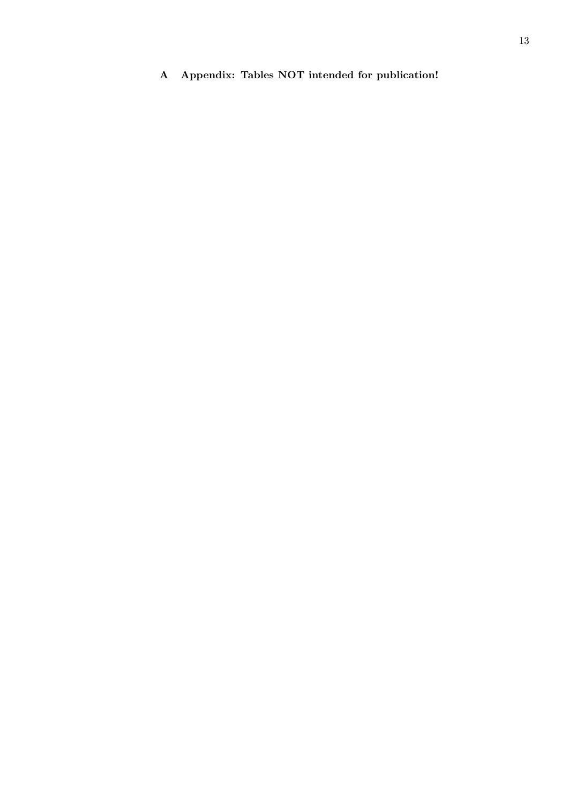**A Appendix: Tables NOT intended for publication!**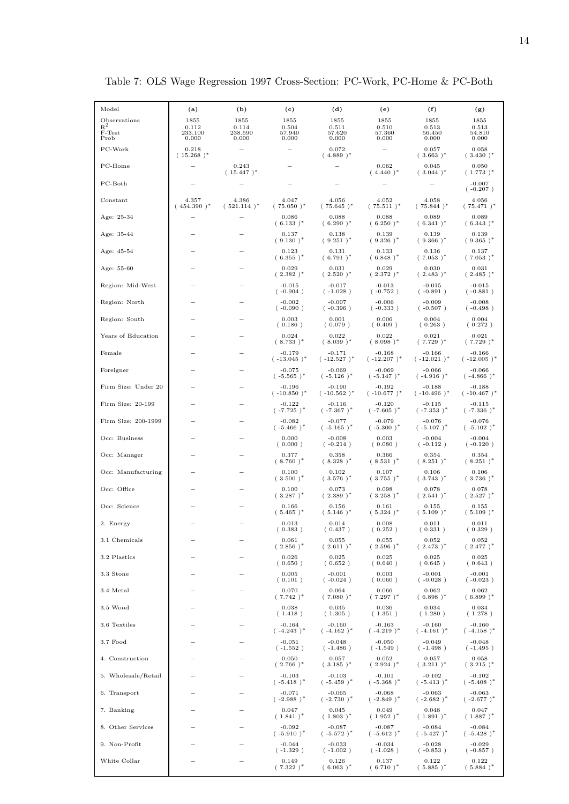| Model                 | (a)                    | (b)                     | (c)                       | (d)                       | (e)                       | (f)                        | (g)                       |
|-----------------------|------------------------|-------------------------|---------------------------|---------------------------|---------------------------|----------------------------|---------------------------|
| Observations<br>$R^2$ | 1855<br>0.112          | 1855<br>0.114           | 1855<br>0.504             | 1855<br>0.511             | 1855<br>0.510             | 1855<br>0.513              | 1855<br>0.513             |
| F-Test<br>Prob        | 233.100<br>0.000       | 238.590<br>0.000        | 57.940<br>0.000           | 57.620<br>0.000           | 57.360<br>0.000           | 56.450<br>0.000            | 54.810<br>0.000           |
| PC-Work               | 0.218<br>$(15.268)^*$  |                         |                           | 0.072<br>$(.4.889)^*$     |                           | 0.057<br>$(.3.663)^*$      | 0.058<br>$(.3.430)^*$     |
| PC-Home               |                        | 0.243<br>$(15.447)^*$   |                           |                           | 0.062<br>$(.4.440)^*$     | 0.045<br>$(.3.044)^*$      | 0.050<br>$(.1.773)^*$     |
| $PC-Both$             |                        |                         |                           |                           |                           |                            | $-0.007$<br>$(-0.207)$    |
| $_{\rm Constant}$     | 4.357<br>$(454.390)^*$ | 4.386<br>$(.521.114)^*$ | 4.047<br>$(.75.050)^*$    | 4.056<br>$(.75.645)^*$    | 4.052<br>$(.75.511)^*$    | 4.058<br>$(.75.844)^*$     | 4.056<br>$(.75.471)^*$    |
| Age: 25-34            |                        |                         | 0.086<br>$(6.133)^*$      | 0.088<br>$(6.290)^*$      | 0.088<br>$(6.250)^*$      | 0.089<br>$(.6.341)^*$      | 0.089<br>$(6.343)^*$      |
| Age: 35-44            |                        |                         | 0.137<br>$(.9.130)^*$     | 0.138<br>$(.9.251)^*$     | 0.139<br>$(.9.326)^*$     | 0.139<br>$(.9.366)^*$      | 0.139<br>$(.9.365)^*$     |
| Age: 45-54            |                        |                         | 0.123<br>$(6.355)^*$      | 0.131<br>$(.6.791)^*$     | 0.133<br>$(.6.848)^*$     | 0.136<br>$(.7.053)^*$      | 0.137<br>$(.7.053)^*$     |
| Age: 55-60            |                        |                         | 0.029<br>$(.2.382)^*$     | 0.031<br>$(.2.520)^*$     | 0.029<br>$(.2.372)^*$     | 0.030<br>$(.2.483)^*$      | 0.031<br>$(2.485)^*$      |
| Region: Mid-West      |                        |                         | $-0.015$<br>$(-0.904)$    | $-0.017$<br>$(-1.028)$    | $-0.013$<br>$(-0.752)$    | $-0.015$<br>$(-0.891)$     | $-0.015$<br>$(-0.881)$    |
| Region: North         |                        |                         | $-0.002$<br>$(-0.090)$    | $-0.007$<br>$(-0.396)$    | $-0.006$<br>$(-0.333)$    | $-0.009$<br>$(-0.507)$     | $-0.008$<br>$(-0.498)$    |
| Region: South         |                        |                         | 0.003<br>(0.186)          | 0.001<br>(0.079)          | 0.006<br>(0.409)          | 0.004<br>(0.263)           | 0.004<br>(0.272)          |
| Years of Education    |                        |                         | 0.024<br>$(.8.733)^*$     | 0.022<br>$(.8.039)^*$     | 0.022<br>$(.8.098)^*$     | 0.021<br>$(.7.729)^*$      | 0.021<br>$(.7.729)^*$     |
| Female                |                        |                         | $-0.179$<br>$(-13.045)^*$ | $-0.171$<br>$(.12.527)^*$ | $-0.168$<br>$(-12.207)^*$ | $-0.166$<br>$(-12.021)^*$  | $-0.166$<br>$(-12.005)^*$ |
| Foreigner             |                        |                         | $-0.075$<br>$(-5.565)^*$  | $-0.069$<br>$(-5.126)^*$  | $-0.069$<br>$(-5.147)^*$  | $-0.066$<br>$(-4.916)^*$   | $-0.066$<br>$(-4.866)^*$  |
| Firm Size: Under 20   |                        |                         | $-0.196$<br>$(-10.850)^*$ | $-0.190$<br>$(-10.562)^*$ | $-0.192$<br>$(-10.677)^*$ | $-0.188$<br>$(.10.496)^*$  | $-0.188$<br>$(-10.467)^*$ |
| Firm Size: 20-199     |                        |                         | $-0.122$<br>$(-7.725)^*$  | $-0.116$<br>$(-7.367)^*$  | $-0.120$<br>$(-7.605)^*$  | $-0.115$<br>$(-7.353)^*$   | $-0.115$<br>$(-7.336)^*$  |
| Firm Size: 200-1999   |                        |                         | $-0.082$<br>$(-5.466)^*$  | $-0.077$<br>$(-5.165)^*$  | $-0.079$<br>$(-5.300)^*$  | $-0.076$<br>$(-5.107)^*$   | $-0.076$<br>$(-5.102)^*$  |
| Occ: Business         |                        |                         | 0.000<br>(0.000)          | $-0.008$<br>$(-0.214)$    | 0.003<br>(0.080)          | $-0.004$<br>$(-0.112)$     | $-0.004$<br>$(-0.120)$    |
| Occ: Manager          |                        |                         | 0.377<br>$(.8.760)^*$     | 0.358<br>$(.8.328)^*$     | 0.366<br>$(.8.531)^*$     | 0.354<br>$(.8.251)^*$      | 0.354<br>$(.8.251)^*$     |
| Occ: Manufacturing    |                        |                         | 0.100<br>$(.3.500)^*$     | 0.102<br>$(.3.576)^*$     | 0.107<br>$(.3.755)^*$     | 0.106<br>(3.743)*          | 0.106<br>$(.3.736)^*$     |
| Occ: Office           |                        |                         | 0.100<br>$(.3.287)^*$     | 0.073<br>$(.2.389)^*$     | 0.098<br>$(.3.258)^*$     | 0.078<br>$(.2.541)^*$      | 0.078<br>$(.2.527)^*$     |
| Occ: Science          |                        |                         | 0.166<br>$(.5.465)^*$     | 0.156<br>$(.5.146)^*$     | 0.161<br>$(.5.324)^*$     | $_{0.155}$<br>$(.5.109)^*$ | 0.155<br>$(.5.109)^*$     |
| 2. Energy             |                        |                         | 0.013<br>(0.383)          | 0.014<br>(0.437)          | 0.008<br>(0.252)          | 0.011<br>(0.331)           | 0.011<br>(0.329)          |
| 3.1 Chemicals         |                        |                         | 0.061<br>$(.2.856)^*$     | 0.055<br>$(.2.611)^*$     | 0.055<br>$(.2.596)^*$     | 0.052<br>$(.2.473)^*$      | 0.052<br>$(.2.477)^*$     |
| 3.2 Plastics          |                        |                         | 0.026<br>(0.650)          | 0.025<br>(0.652)          | 0.025<br>(0.640)          | 0.025<br>(0.645)           | 0.025<br>(0.643)          |
| 3.3 Stone             |                        |                         | 0.005<br>(0.101)          | $-0.001$<br>$(-0.024)$    | 0.003<br>(0.060)          | $-0.001$<br>$(-0.028)$     | $-0.001$<br>$(-0.023)$    |
| 3.4 Metal             |                        |                         | 0.070<br>$(.7.742)^*$     | 0.064<br>$(.7.080)^*$     | 0.066<br>$(.7.297)^*$     | 0.062<br>$(6.898)^*$       | 0.062<br>$(.6.899)^*$     |
| 3.5 Wood              |                        |                         | 0.038<br>(1.418)          | 0.035<br>(1.305)          | 0.036<br>(1.351)          | 0.034<br>(1.280)           | 0.034<br>(1.278)          |
| 3.6 Textiles          |                        |                         | $-0.164$<br>$(-4.243)^*$  | $-0.160$<br>$(-4.162)^*$  | $-0.163$<br>$(-4.219)^*$  | $-0.160$<br>$(-4.161)^*$   | $-0.160$<br>$(-4.158)^*$  |
| 3.7 Food              |                        |                         | $-0.051$<br>$(-1.552)$    | $-0.048$<br>$(-1.486)$    | $-0.050$<br>$(-1.549)$    | $-0.049$<br>$(-1.498)$     | $-0.048$<br>$(-1.495)$    |
| 4. Construction       |                        |                         | 0.050<br>$(.2.766)^*$     | 0.057<br>$(.3.185)^*$     | 0.052<br>$(.2.924)^*$     | 0.057<br>$(.3.211)^*$      | 0.058<br>$(.3.215)^*$     |
| 5. Wholesale/Retail   |                        |                         | -0.103<br>$(-5.418)^*$    | $-0.103$<br>$(-5.459)^*$  | $-0.101$<br>$(-5.368)^*$  | -0.102<br>$(-5.413)^*$     | $-0.102$<br>$(-5.408)^*$  |
| 6. Transport          |                        |                         | $-0.071$<br>$(-2.988)^*$  | $-0.065$<br>$(-2.730)^*$  | $-0.068$<br>$(-2.849)^*$  | $-0.063$<br>$(-2.682)^*$   | $-0.063$<br>$(-2.677)^*$  |
| 7. Banking            |                        |                         | 0.047<br>$(.1.841)^*$     | 0.045<br>$(.1.803)^*$     | 0.049<br>$(.1.952)^*$     | 0.048<br>$(.1.891)^*$      | 0.047<br>$(.1.887)^*$     |
| 8. Other Services     |                        |                         | $-0.092$<br>$(-5.910)^*$  | $-0.087$<br>$(-5.572)^*$  | $-0.087$<br>$(-5.612)^*$  | $-0.084$<br>$(-5.427)^*$   | $-0.084$<br>$(-5.428)^*$  |
| 9. Non-Profit         |                        |                         | $-0.044$<br>$(-1.329)$    | $-0.033$<br>$(-1.002)$    | $-0.034$<br>$(-1.028)$    | $-0.028$<br>$(-0.853)$     | $-0.029$<br>$(-0.857)$    |
| White Collar          |                        |                         | 0.149<br>$(.7.322)^*$     | 0.126<br>$(6.063)^*$      | 0.137<br>$(.6.710)^*$     | 0.122<br>$(.5.885)^*$      | 0.122<br>$(.5.884)^*$     |

Table 7: OLS Wage Regression 1997 Cross-Section: PC-Work, PC-Home & PC-Both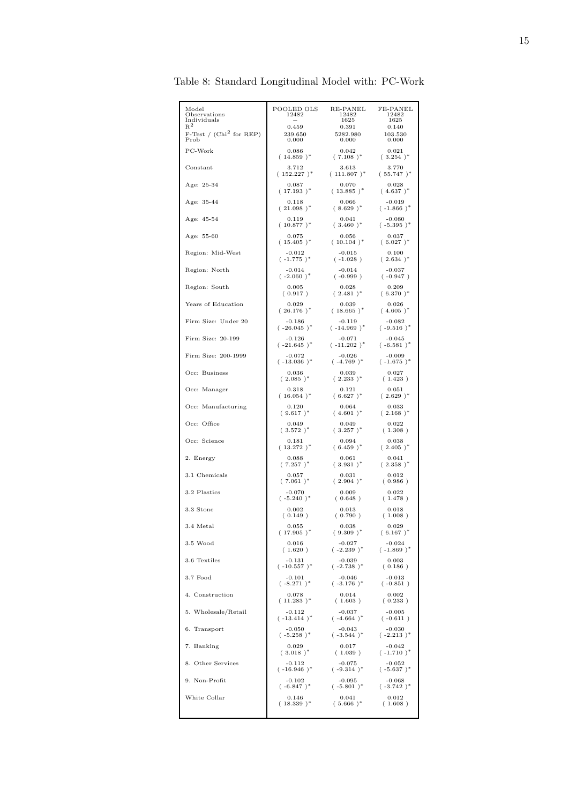| Model<br>Observations<br>Individuals<br>$R^2$ | POOLED OLS<br>12482<br>0.459 | RE-PANEL<br>12482<br>1625<br>0.391 | FE-PANEL<br>12482<br>1625<br>0.140 |
|-----------------------------------------------|------------------------------|------------------------------------|------------------------------------|
| F-Test / $(Chi2$ for REP)                     | 239.650                      | 5282.980                           | 103.530                            |
| Prob                                          | 0.000                        | 0.000                              | 0.000                              |
| PC-Work                                       | 0.086                        | 0.042                              | 0.021                              |
|                                               | $(14.859)^*$                 | $(.7.108)^*$                       | $(.3.254)^*$                       |
| Constant                                      | 3.712                        | 3.613                              | 3.770                              |
|                                               | $(.152.227)^*$               | $(.111.807)^*$                     | $(.55.747)^*$                      |
| Age: 25-34                                    | 0.087                        | 0.070                              | 0.028                              |
|                                               | $(17.193)^*$                 | $(13.885)^*$                       | $(.4.637)^*$                       |
| Age: 35-44                                    | 0.118                        | 0.066                              | $-0.019$                           |
|                                               | $(.21.098)^*$                | $(8.629)^*$                        | $(.1.866)^*$                       |
| Age: 45-54                                    | 0.119                        | 0.041                              | $-0.080$                           |
|                                               | $(.10.877)^*$                | $(.3.460)^*$                       | $(-5.395)^*$                       |
| Age: 55-60                                    | 0.075                        | 0.056                              | 0.037                              |
|                                               | $(.15.405)^*$                | $(10.104)^*$                       | $(6.027)^*$                        |
| Region: Mid-West                              | $-0.012$                     | $-0.015$                           | 0.100                              |
|                                               | $(-1.775)^*$                 | $(-1.028)$                         | $(.2.634)^*$                       |
| Region: North                                 | $-0.014$                     | $-0.014$                           | $-0.037$                           |
|                                               | $(-2.060)^*$                 | $(-0.999)$                         | $(-0.947)$                         |
| Region: South                                 | 0.005                        | 0.028                              | 0.209                              |
|                                               | (0.917)                      | $(.2.481)^*$                       | $(6.370)^*$                        |
| Years of Education                            | 0.029                        | 0.039                              | 0.026                              |
|                                               | $(.26.176)^*$                | $(18.665)^*$                       | $(.4.605)^*$                       |
| Firm Size: Under 20                           | $-0.186$                     | $-0.119$                           | $-0.082$                           |
|                                               | $(-26.045)^*$                | $(-14.969)^*$                      | $(-9.516)^*$                       |
| Firm Size: 20-199                             | $-0.126$                     | $-0.071$                           | $-0.045$                           |
|                                               | $(-21.645)^*$                | $(-11.202)^*$                      | $(-6.581)^*$                       |
| Firm Size: 200-1999                           | $-0.072$                     | $-0.026$                           | $-0.009$                           |
|                                               | $(-13.036)^*$                | $(-4.769)^*$                       | $(-1.675)^*$                       |
| Occ: Business                                 | 0.036                        | 0.039                              | 0.027                              |
|                                               | $(.2.085)^*$                 | $(.2.233)^*$                       | (1.423)                            |
| Occ: Manager                                  | 0.318                        | 0.121                              | 0.051                              |
|                                               | $(.16.054)^*$                | $(6.627)^*$                        | $(.2.629)^*$                       |
| Occ: Manufacturing                            | 0.120                        | 0.064                              | 0.033                              |
|                                               | $(.9.617)^*$                 | $(.4.601)^*$                       | $(.2.168)^*$                       |
| Occ: Office                                   | 0.049                        | 0.049                              | 0.022                              |
|                                               | $(.3.572)^*$                 | $(.3.257)^*$                       | (1.308)                            |
| Occ: Science                                  | 0.181                        | 0.094                              | 0.038                              |
|                                               | $(.13.272)^*$                | $(6.459)^*$                        | $(.2.405)^*$                       |
| 2. Energy                                     | 0.088                        | 0.061                              | 0.041                              |
|                                               | $(.7.257)^*$                 | $(.3.931)^*$                       | $(.2.358)^*$                       |
| 3.1 Chemicals                                 | 0.057                        | 0.031                              | 0.012                              |
|                                               | $(.7.061)^*$                 | $(.2.904)^*$                       | (0.986)                            |
| 3.2 Plastics                                  | $-0.070$                     | 0.009                              | 0.022                              |
|                                               | $(-5.240)^*$                 | (0.648)                            | (1.478)                            |
| 3.3 Stone                                     | 0.002                        | 0.013                              | 0.018                              |
|                                               | (0.149)                      | (0.790)                            | (1.008)                            |
| 3.4 Metal                                     | 0.055                        | 0.038                              | 0.029                              |
|                                               | $(.17.905)^*$                | $(.9.309)^*$                       | $(6.167)^*$                        |
| 3.5 Wood                                      | 0.016                        | $-0.027$                           | $-0.024$                           |
|                                               | (1.620)                      | $(-2.239)^*$                       | $(-1.869)^*$                       |
| 3.6 Textiles                                  | $-0.131$                     | $-0.039$                           | 0.003                              |
|                                               | $(-10.557)^*$                | $(-2.738)^*$                       | (0.186)                            |
| 3.7 Food                                      | $-0.101$                     | $-0.046$                           | $-0.013$                           |
|                                               | $(.8.271)^*$                 | $(-3.176)^*$                       | $(-0.851)$                         |
| 4. Construction                               | 0.078                        | 0.014                              | 0.002                              |
|                                               | $(11.283)^*$                 | (1.603)                            | (0.233)                            |
| 5. Wholesale/Retail                           | $-0.112$                     | $-0.037$                           | $-0.005$                           |
|                                               | $(-13.414)^*$                | $(-4.664)^*$                       | $(-0.611)$                         |
| 6. Transport                                  | $-0.050$                     | $-0.043$                           | $-0.030$                           |
|                                               | $(-5.258)^*$                 | $(-3.544)^*$                       | $(-2.213)^*$                       |
| 7. Banking                                    | 0.029                        | 0.017                              | $-0.042$                           |
|                                               | $(.3.018)^*$                 | (1.039)                            | $(-1.710)^*$                       |
| 8. Other Services                             | $-0.112$                     | $-0.075$                           | $-0.052$                           |
|                                               | $(-16.946)^*$                | $(-9.314)^*$                       | $(-5.637)^*$                       |
| 9. Non-Profit                                 | $-0.102$                     | $-0.095$                           | $-0.068$                           |
|                                               | $(-6.847)^*$                 | $(-5.801)^*$                       | $(-3.742)^*$                       |
| White Collar                                  | 0.146                        | 0.041                              | 0.012                              |
|                                               | $(18.339)^*$                 | $(.5.666)^*$                       | (1.608)                            |
|                                               |                              |                                    |                                    |

Table 8: Standard Longitudinal Model with: PC-Work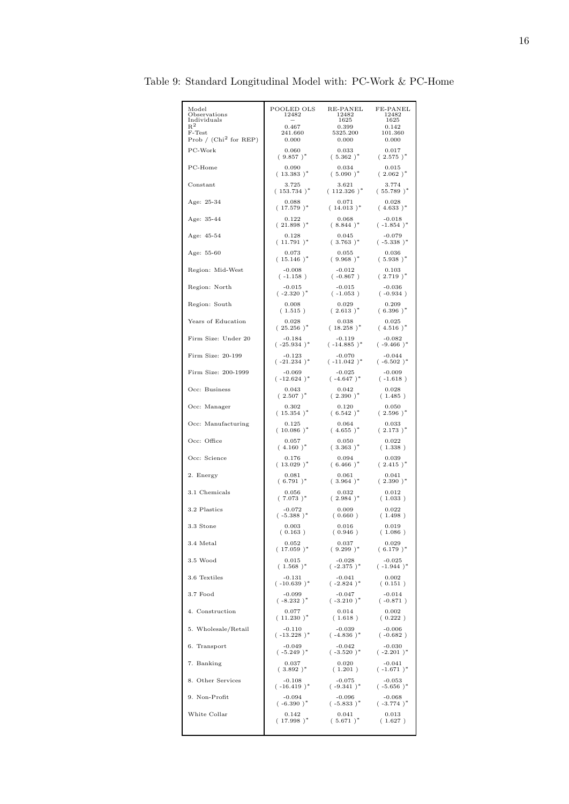| Model<br>Observations<br>Individuals | POOLED OLS<br>12482 | RE-PANEL<br>12482<br>1625 | FE-PANEL<br>12482<br>1625 |
|--------------------------------------|---------------------|---------------------------|---------------------------|
| $R^2$                                | 0.467               | 0.399                     | 0.142                     |
| F-Test                               | 241.660             | 5325.200                  | 101.360                   |
| Prob / $(Chi2 for REP)$              | 0.000               | 0.000                     | 0.000                     |
| PC-Work                              | 0.060               | 0.033                     | 0.017                     |
|                                      | $(.9.857)^*$        | $(.5.362)^*$              | $(.2.575)^*$              |
| PC-Home                              | 0.090               | 0.034                     | $_{0.015}$                |
|                                      | $(.13.383)^*$       | $(.5.090)^*$              | $(.2.062)^*$              |
| Constant                             | 3.725               | 3.621                     | 3.774                     |
|                                      | $(153.734)^*$       | $(112.326)^*$             | $(.55.789)^*$             |
| Age: 25-34                           | 0.088               | 0.071                     | 0.028                     |
|                                      | $(17.579)^*$        | $(14.013)^*$              | $(.4.633)^*$              |
| Age: 35-44                           | 0.122               | 0.068                     | $-0.018$                  |
|                                      | $(.21.898)^*$       | $(.8.844)^*$              | $(-1.854)^*$              |
| Age: 45-54                           | 0.128               | 0.045                     | $-0.079$                  |
|                                      | $(.11.791)^*$       | $(.3.763)^*$              | $(-5.338)^*$              |
| Age: 55-60                           | 0.073               | 0.055                     | 0.036                     |
|                                      | $(.15.146)^*$       | $(.9.968)^*$              | $(.5.938)^*$              |
| Region: Mid-West                     | $-0.008$            | $-0.012$                  | 0.103                     |
|                                      | $(-1.158)$          | $(-0.867)$                | $(.2.719)^*$              |
| Region: North                        | $-0.015$            | $-0.015$                  | $-0.036$                  |
|                                      | $(-2.320)^*$        | $(-1.053)$                | $(-0.934)$                |
| Region: South                        | 0.008               | 0.029                     | 0.209                     |
|                                      | (1.515)             | $(.2.613)^*$              | $(.6.396)^*$              |
| Years of Education                   | 0.028               | 0.038                     | 0.025                     |
|                                      | $(.25.256)^*$       | $(18.258)^*$              | $(.4.516)^*$              |
| Firm Size: Under 20                  | $-0.184$            | $-0.119$                  | $-0.082$                  |
|                                      | $(-25.934)^*$       | $(-14.885)^*$             | $(-9.466)^*$              |
| Firm Size: 20-199                    | $-0.123$            | $-0.070$                  | $-0.044$                  |
|                                      | $(-21.234)^*$       | $(.11.042)^*$             | $(-6.502)^*$              |
| Firm Size: 200-1999                  | $-0.069$            | $-0.025$                  | $-0.009$                  |
|                                      | $(-12.624)^*$       | $(-4.647)^*$              | $(-1.618)$                |
| Occ: Business                        | 0.043               | 0.042                     | 0.028                     |
|                                      | $(.2.507)^*$        | $(.2.390)^*$              | (1.485)                   |
| Occ: Manager                         | 0.302               | 0.120                     | 0.050                     |
|                                      | $(.15.354)^*$       | $(6.542)^*$               | $(.2.596)^*$              |
| Occ: Manufacturing                   | 0.125               | 0.064                     | 0.033                     |
|                                      | $(.10.086)^*$       | $(.4.655)^*$              | $(.2.173)^*$              |
| Occ: Office                          | 0.057               | 0.050                     | 0.022                     |
|                                      | $(.4.160)^*$        | $(.3.363)^*$              | (1.338)                   |
| Occ: Science                         | 0.176               | 0.094                     | 0.039                     |
|                                      | $(.13.029)^*$       | $(6.466)^*$               | $(.2.415)^*$              |
| 2. Energy                            | 0.081               | 0.061                     | 0.041                     |
|                                      | $(.6.791)^*$        | $(.3.964)^*$              | $(.2.390)^*$              |
| 3.1 Chemicals                        | 0.056               | 0.032                     | 0.012                     |
|                                      | $(.7.073)^*$        | $(2.984)^*$               | (1.033)                   |
| 3.2 Plastics                         | $-0.072$            | 0.009                     | 0.022                     |
|                                      | $(-5.388)^*$        | (0.660)                   | (1.498)                   |
| 3.3 Stone                            | 0.003               | 0.016                     | 0.019                     |
|                                      | (0.163)             | (0.946)                   | (1.086)                   |
| 3.4 Metal                            | 0.052               | 0.037                     | 0.029                     |
|                                      | $(17.059)^*$        | $(.9.299)^*$              | $(6.179)^*$               |
| 3.5 Wood                             | 0.015               | $-0.028$                  | $-0.025$                  |
|                                      | $(.1.568)^*$        | $(-2.375)^*$              | $(-1.944)^*$              |
| 3.6 Textiles                         | $-0.131$            | $-0.041$                  | 0.002                     |
|                                      | $(.10.639)^*$       | $(-2.824)^*$              | (0.151)                   |
| $3.7$ Food                           | $-0.099$            | $-0.047$                  | $-0.014$                  |
|                                      | $(-8.232)^*$        | $(-3.210)^*$              | $(-0.871)$                |
| 4. Construction                      | 0.077               | 0.014                     | 0.002                     |
|                                      | $(11.230)^*$        | (1.618)                   | (0.222)                   |
| 5. Wholesale/Retail                  | $-0.110$            | $-0.039$                  | $-0.006$                  |
|                                      | $(-13.228)^*$       | $(-4.836)^*$              | $(-0.682)$                |
| 6. Transport                         | $-0.049$            | $-0.042$                  | $-0.030$                  |
|                                      | $(-5.249)^*$        | $(-3.520)^*$              | $(-2.201)^*$              |
| 7. Banking                           | 0.037               | 0.020                     | $-0.041$                  |
|                                      | $(.3.892)^*$        | (1.201)                   | $(-1.671)^*$              |
| 8. Other Services                    | $-0.108$            | $-0.075$                  | $-0.053$                  |
|                                      | $(-16.419)^*$       | $(-9.341)^*$              | $(-5.656)^*$              |
| 9. Non-Profit                        | -0.094              | $-0.096$                  | $-0.068$                  |
|                                      | $(-6.390)^*$        | $(-5.833)^*$              | $(-3.774)^*$              |
| White Collar                         | 0.142               | 0.041                     | 0.013                     |
|                                      | $(.17.998)^*$       | $(.5.671)^*$              | (1.627)                   |
|                                      |                     |                           |                           |

Table 9: Standard Longitudinal Model with: PC-Work & PC-Home